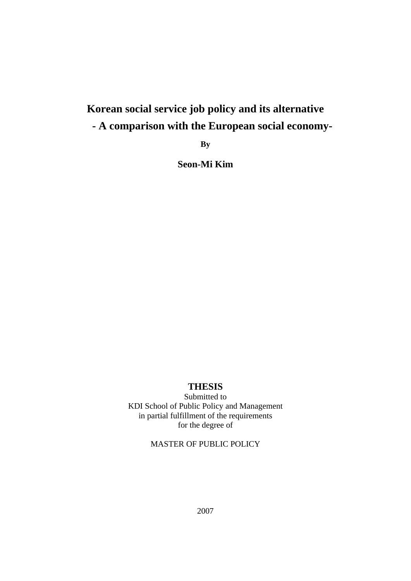# **Korean social service job policy and its alternative - A comparison with the European social economy-**

**By** 

**Seon-Mi Kim** 

## **THESIS**

Submitted to KDI School of Public Policy and Management in partial fulfillment of the requirements for the degree of

# MASTER OF PUBLIC POLICY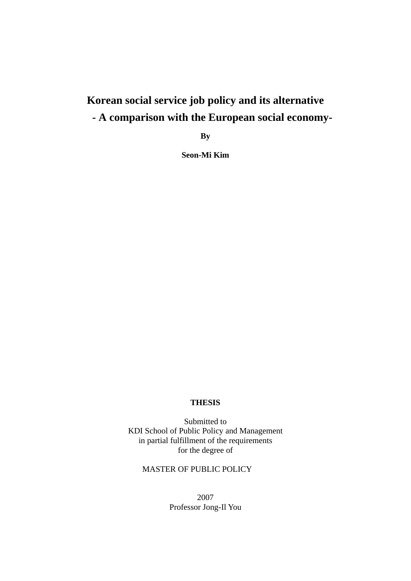# **Korean social service job policy and its alternative - A comparison with the European social economy-**

**By** 

**Seon-Mi Kim** 

## **THESIS**

Submitted to KDI School of Public Policy and Management in partial fulfillment of the requirements for the degree of

## MASTER OF PUBLIC POLICY

2007 Professor Jong-Il You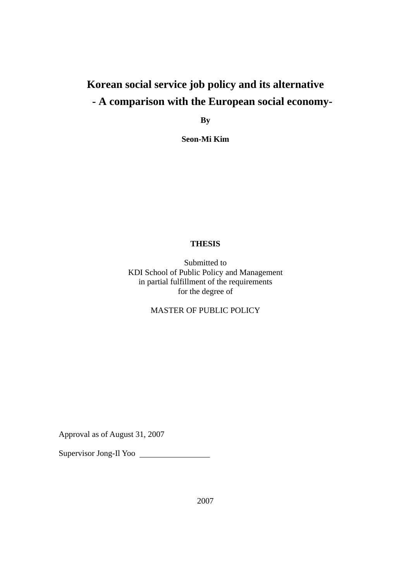# **Korean social service job policy and its alternative - A comparison with the European social economy-**

**By** 

**Seon-Mi Kim** 

## **THESIS**

Submitted to KDI School of Public Policy and Management in partial fulfillment of the requirements for the degree of

MASTER OF PUBLIC POLICY

Approval as of August 31, 2007

Supervisor Jong-Il Yoo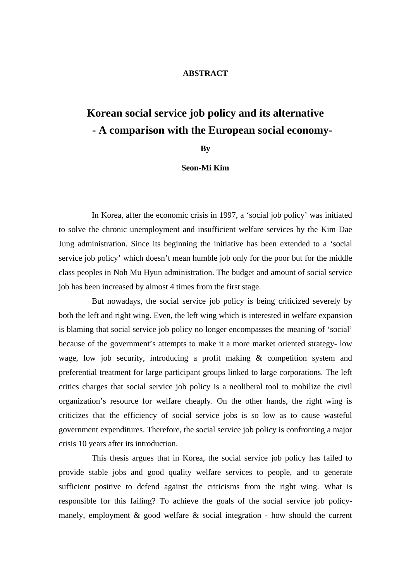## **ABSTRACT**

# **Korean social service job policy and its alternative - A comparison with the European social economy-**

**By** 

#### **Seon-Mi Kim**

In Korea, after the economic crisis in 1997, a 'social job policy' was initiated to solve the chronic unemployment and insufficient welfare services by the Kim Dae Jung administration. Since its beginning the initiative has been extended to a 'social service job policy' which doesn't mean humble job only for the poor but for the middle class peoples in Noh Mu Hyun administration. The budget and amount of social service job has been increased by almost 4 times from the first stage.

But nowadays, the social service job policy is being criticized severely by both the left and right wing. Even, the left wing which is interested in welfare expansion is blaming that social service job policy no longer encompasses the meaning of 'social' because of the government's attempts to make it a more market oriented strategy- low wage, low job security, introducing a profit making & competition system and preferential treatment for large participant groups linked to large corporations. The left critics charges that social service job policy is a neoliberal tool to mobilize the civil organization's resource for welfare cheaply. On the other hands, the right wing is criticizes that the efficiency of social service jobs is so low as to cause wasteful government expenditures. Therefore, the social service job policy is confronting a major crisis 10 years after its introduction.

This thesis argues that in Korea, the social service job policy has failed to provide stable jobs and good quality welfare services to people, and to generate sufficient positive to defend against the criticisms from the right wing. What is responsible for this failing? To achieve the goals of the social service job policymanely, employment  $\&$  good welfare  $\&$  social integration - how should the current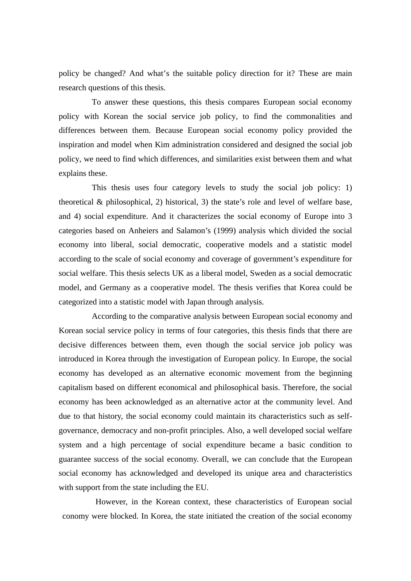policy be changed? And what's the suitable policy direction for it? These are main research questions of this thesis.

To answer these questions, this thesis compares European social economy policy with Korean the social service job policy, to find the commonalities and differences between them. Because European social economy policy provided the inspiration and model when Kim administration considered and designed the social job policy, we need to find which differences, and similarities exist between them and what explains these.

This thesis uses four category levels to study the social job policy: 1) theoretical  $\&$  philosophical, 2) historical, 3) the state's role and level of welfare base, and 4) social expenditure. And it characterizes the social economy of Europe into 3 categories based on Anheiers and Salamon's (1999) analysis which divided the social economy into liberal, social democratic, cooperative models and a statistic model according to the scale of social economy and coverage of government's expenditure for social welfare. This thesis selects UK as a liberal model, Sweden as a social democratic model, and Germany as a cooperative model. The thesis verifies that Korea could be categorized into a statistic model with Japan through analysis.

According to the comparative analysis between European social economy and Korean social service policy in terms of four categories, this thesis finds that there are decisive differences between them, even though the social service job policy was introduced in Korea through the investigation of European policy. In Europe, the social economy has developed as an alternative economic movement from the beginning capitalism based on different economical and philosophical basis. Therefore, the social economy has been acknowledged as an alternative actor at the community level. And due to that history, the social economy could maintain its characteristics such as selfgovernance, democracy and non-profit principles. Also, a well developed social welfare system and a high percentage of social expenditure became a basic condition to guarantee success of the social economy. Overall, we can conclude that the European social economy has acknowledged and developed its unique area and characteristics with support from the state including the EU.

However, in the Korean context, these characteristics of European social conomy were blocked. In Korea, the state initiated the creation of the social economy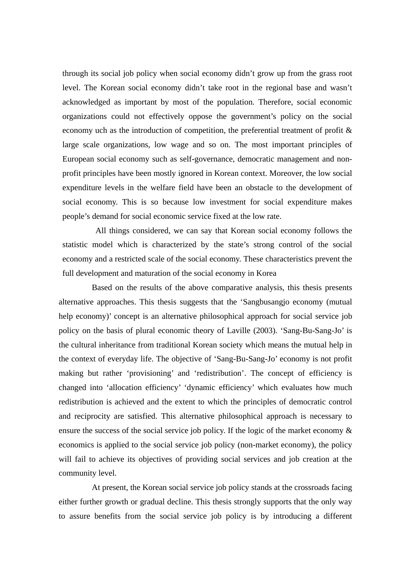through its social job policy when social economy didn't grow up from the grass root level. The Korean social economy didn't take root in the regional base and wasn't acknowledged as important by most of the population. Therefore, social economic organizations could not effectively oppose the government's policy on the social economy uch as the introduction of competition, the preferential treatment of profit & large scale organizations, low wage and so on. The most important principles of European social economy such as self-governance, democratic management and nonprofit principles have been mostly ignored in Korean context. Moreover, the low social expenditure levels in the welfare field have been an obstacle to the development of social economy. This is so because low investment for social expenditure makes people's demand for social economic service fixed at the low rate.

All things considered, we can say that Korean social economy follows the statistic model which is characterized by the state's strong control of the social economy and a restricted scale of the social economy. These characteristics prevent the full development and maturation of the social economy in Korea

Based on the results of the above comparative analysis, this thesis presents alternative approaches. This thesis suggests that the 'Sangbusangjo economy (mutual help economy)' concept is an alternative philosophical approach for social service job policy on the basis of plural economic theory of Laville (2003). 'Sang-Bu-Sang-Jo' is the cultural inheritance from traditional Korean society which means the mutual help in the context of everyday life. The objective of 'Sang-Bu-Sang-Jo' economy is not profit making but rather 'provisioning' and 'redistribution'. The concept of efficiency is changed into 'allocation efficiency' 'dynamic efficiency' which evaluates how much redistribution is achieved and the extent to which the principles of democratic control and reciprocity are satisfied. This alternative philosophical approach is necessary to ensure the success of the social service job policy. If the logic of the market economy & economics is applied to the social service job policy (non-market economy), the policy will fail to achieve its objectives of providing social services and job creation at the community level.

At present, the Korean social service job policy stands at the crossroads facing either further growth or gradual decline. This thesis strongly supports that the only way to assure benefits from the social service job policy is by introducing a different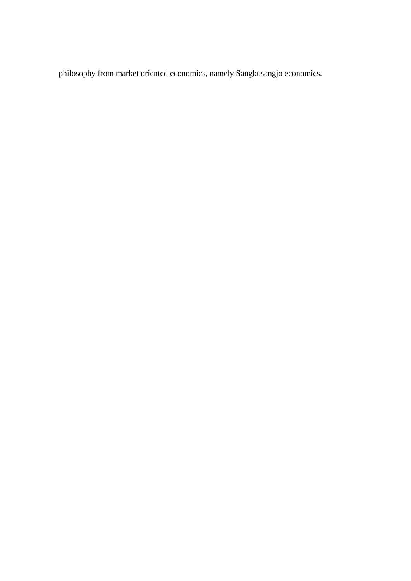philosophy from market oriented economics, namely Sangbusangjo economics.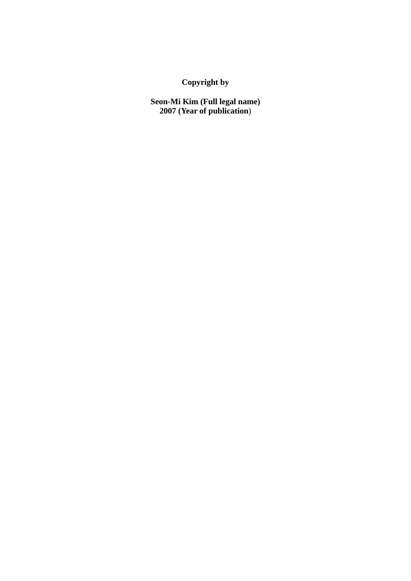**Copyright by** 

**Seon-Mi Kim (Full legal name) 2007 (Year of publication**)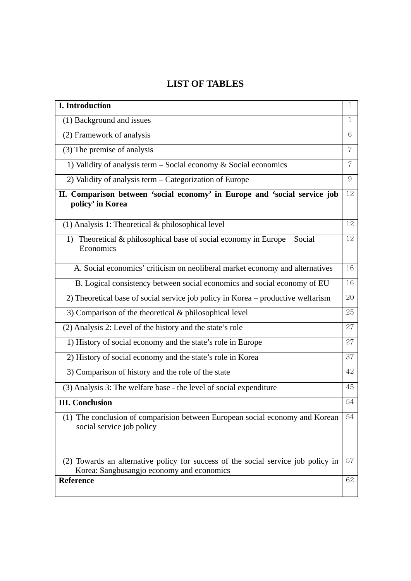# **LIST OF TABLES**

| I. Introduction                                                                                                                | 1  |  |  |  |
|--------------------------------------------------------------------------------------------------------------------------------|----|--|--|--|
| (1) Background and issues                                                                                                      | 1  |  |  |  |
| (2) Framework of analysis                                                                                                      | 6  |  |  |  |
| (3) The premise of analysis                                                                                                    | 7  |  |  |  |
| 1) Validity of analysis term $-$ Social economy $\&$ Social economics                                                          | 7  |  |  |  |
| 2) Validity of analysis term - Categorization of Europe                                                                        |    |  |  |  |
| II. Comparison between 'social economy' in Europe and 'social service job<br>policy' in Korea                                  | 12 |  |  |  |
| $(1)$ Analysis 1: Theoretical & philosophical level                                                                            | 12 |  |  |  |
| 1) Theoretical & philosophical base of social economy in Europe<br>Social<br>Economics                                         | 12 |  |  |  |
| A. Social economics' criticism on neoliberal market economy and alternatives                                                   | 16 |  |  |  |
| B. Logical consistency between social economics and social economy of EU                                                       | 16 |  |  |  |
| 2) Theoretical base of social service job policy in Korea – productive welfarism                                               | 20 |  |  |  |
| 3) Comparison of the theoretical $\&$ philosophical level                                                                      | 25 |  |  |  |
| (2) Analysis 2: Level of the history and the state's role                                                                      | 27 |  |  |  |
| 1) History of social economy and the state's role in Europe                                                                    | 27 |  |  |  |
| 2) History of social economy and the state's role in Korea                                                                     | 37 |  |  |  |
| 3) Comparison of history and the role of the state                                                                             | 42 |  |  |  |
| (3) Analysis 3: The welfare base - the level of social expenditure                                                             | 45 |  |  |  |
| <b>III.</b> Conclusion                                                                                                         | 54 |  |  |  |
| (1) The conclusion of comparision between European social economy and Korean<br>social service job policy                      | 54 |  |  |  |
| (2) Towards an alternative policy for success of the social service job policy in<br>Korea: Sangbusangjo economy and economics | 57 |  |  |  |
| Reference                                                                                                                      | 62 |  |  |  |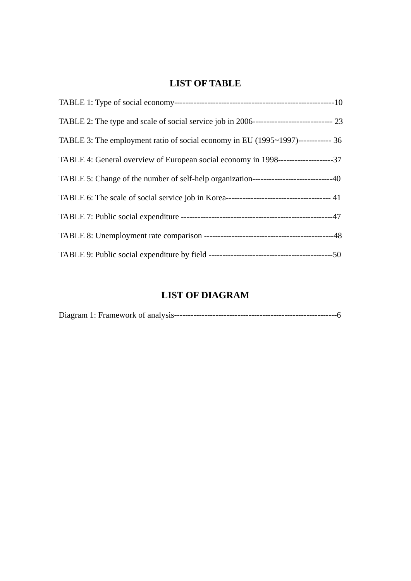# **LIST OF TABLE**

| TABLE 3: The employment ratio of social economy in EU (1995~1997)------------ 36           |  |
|--------------------------------------------------------------------------------------------|--|
| TABLE 4: General overview of European social economy in 1998---------------------37        |  |
| TABLE 5: Change of the number of self-help organization---------------------------------40 |  |
|                                                                                            |  |
|                                                                                            |  |
|                                                                                            |  |
|                                                                                            |  |

# **LIST OF DIAGRAM**

| $\sim$ |  |
|--------|--|
|        |  |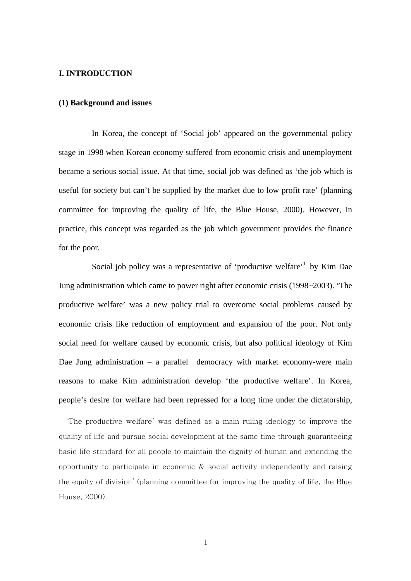#### **I. INTRODUCTION**

-

#### **(1) Background and issues**

In Korea, the concept of 'Social job' appeared on the governmental policy stage in 1998 when Korean economy suffered from economic crisis and unemployment became a serious social issue. At that time, social job was defined as 'the job which is useful for society but can't be supplied by the market due to low profit rate' (planning committee for improving the quality of life, the Blue House, 2000). However, in practice, this concept was regarded as the job which government provides the finance for the poor.

Social job policy was a representative of 'productive welfare'<sup>1</sup> by Kim Dae Jung administration which came to power right after economic crisis (1998~2003). 'The productive welfare' was a new policy trial to overcome social problems caused by economic crisis like reduction of employment and expansion of the poor. Not only social need for welfare caused by economic crisis, but also political ideology of Kim Dae Jung administration – a parallel democracy with market economy-were main reasons to make Kim administration develop 'the productive welfare'. In Korea, people's desire for welfare had been repressed for a long time under the dictatorship,

<sup>&#</sup>x27;The productive welfare' was defined as a main ruling ideology to improve the quality of life and pursue social development at the same time through guaranteeing basic life standard for all people to maintain the dignity of human and extending the opportunity to participate in economic  $\&$  social activity independently and raising the equity of division' (planning committee for improving the quality of life, the Blue House, 2000).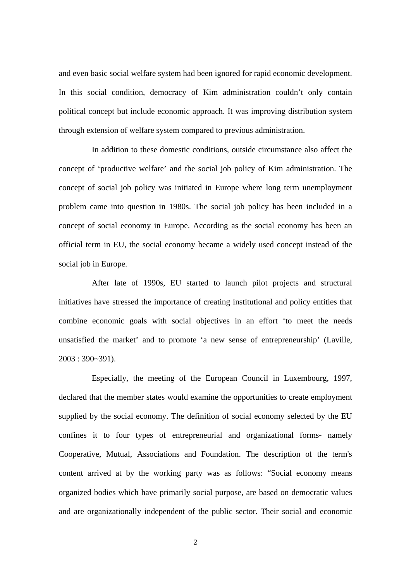and even basic social welfare system had been ignored for rapid economic development. In this social condition, democracy of Kim administration couldn't only contain political concept but include economic approach. It was improving distribution system through extension of welfare system compared to previous administration.

In addition to these domestic conditions, outside circumstance also affect the concept of 'productive welfare' and the social job policy of Kim administration. The concept of social job policy was initiated in Europe where long term unemployment problem came into question in 1980s. The social job policy has been included in a concept of social economy in Europe. According as the social economy has been an official term in EU, the social economy became a widely used concept instead of the social job in Europe.

After late of 1990s, EU started to launch pilot projects and structural initiatives have stressed the importance of creating institutional and policy entities that combine economic goals with social objectives in an effort 'to meet the needs unsatisfied the market' and to promote 'a new sense of entrepreneurship' (Laville, 2003 : 390~391).

Especially, the meeting of the European Council in Luxembourg, 1997, declared that the member states would examine the opportunities to create employment supplied by the social economy. The definition of social economy selected by the EU confines it to four types of entrepreneurial and organizational forms- namely Cooperative, Mutual, Associations and Foundation. The description of the term's content arrived at by the working party was as follows: "Social economy means organized bodies which have primarily social purpose, are based on democratic values and are organizationally independent of the public sector. Their social and economic

2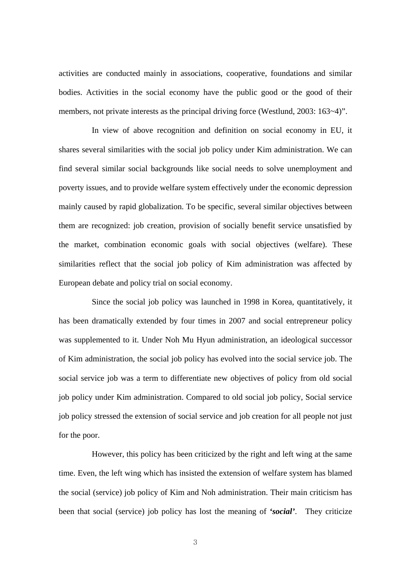activities are conducted mainly in associations, cooperative, foundations and similar bodies. Activities in the social economy have the public good or the good of their members, not private interests as the principal driving force (Westlund, 2003: 163~4)".

In view of above recognition and definition on social economy in EU, it shares several similarities with the social job policy under Kim administration. We can find several similar social backgrounds like social needs to solve unemployment and poverty issues, and to provide welfare system effectively under the economic depression mainly caused by rapid globalization. To be specific, several similar objectives between them are recognized: job creation, provision of socially benefit service unsatisfied by the market, combination economic goals with social objectives (welfare). These similarities reflect that the social job policy of Kim administration was affected by European debate and policy trial on social economy.

Since the social job policy was launched in 1998 in Korea, quantitatively, it has been dramatically extended by four times in 2007 and social entrepreneur policy was supplemented to it. Under Noh Mu Hyun administration, an ideological successor of Kim administration, the social job policy has evolved into the social service job. The social service job was a term to differentiate new objectives of policy from old social job policy under Kim administration. Compared to old social job policy, Social service job policy stressed the extension of social service and job creation for all people not just for the poor.

However, this policy has been criticized by the right and left wing at the same time. Even, the left wing which has insisted the extension of welfare system has blamed the social (service) job policy of Kim and Noh administration. Their main criticism has been that social (service) job policy has lost the meaning of *'social'*. They criticize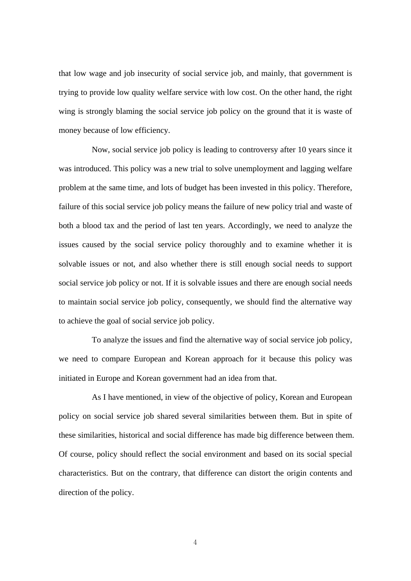that low wage and job insecurity of social service job, and mainly, that government is trying to provide low quality welfare service with low cost. On the other hand, the right wing is strongly blaming the social service job policy on the ground that it is waste of money because of low efficiency.

Now, social service job policy is leading to controversy after 10 years since it was introduced. This policy was a new trial to solve unemployment and lagging welfare problem at the same time, and lots of budget has been invested in this policy. Therefore, failure of this social service job policy means the failure of new policy trial and waste of both a blood tax and the period of last ten years. Accordingly, we need to analyze the issues caused by the social service policy thoroughly and to examine whether it is solvable issues or not, and also whether there is still enough social needs to support social service job policy or not. If it is solvable issues and there are enough social needs to maintain social service job policy, consequently, we should find the alternative way to achieve the goal of social service job policy.

To analyze the issues and find the alternative way of social service job policy, we need to compare European and Korean approach for it because this policy was initiated in Europe and Korean government had an idea from that.

As I have mentioned, in view of the objective of policy, Korean and European policy on social service job shared several similarities between them. But in spite of these similarities, historical and social difference has made big difference between them. Of course, policy should reflect the social environment and based on its social special characteristics. But on the contrary, that difference can distort the origin contents and direction of the policy.

4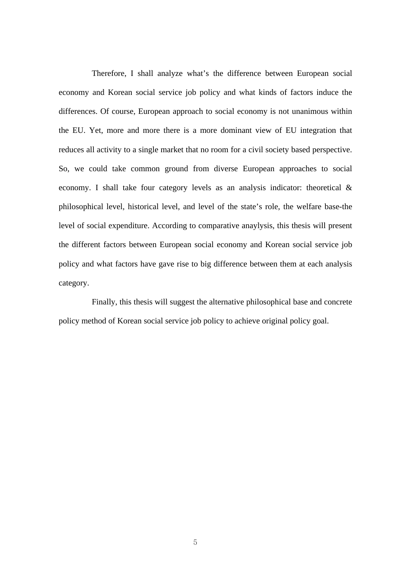Therefore, I shall analyze what's the difference between European social economy and Korean social service job policy and what kinds of factors induce the differences. Of course, European approach to social economy is not unanimous within the EU. Yet, more and more there is a more dominant view of EU integration that reduces all activity to a single market that no room for a civil society based perspective. So, we could take common ground from diverse European approaches to social economy. I shall take four category levels as an analysis indicator: theoretical & philosophical level, historical level, and level of the state's role, the welfare base-the level of social expenditure. According to comparative anaylysis, this thesis will present the different factors between European social economy and Korean social service job policy and what factors have gave rise to big difference between them at each analysis category.

Finally, this thesis will suggest the alternative philosophical base and concrete policy method of Korean social service job policy to achieve original policy goal.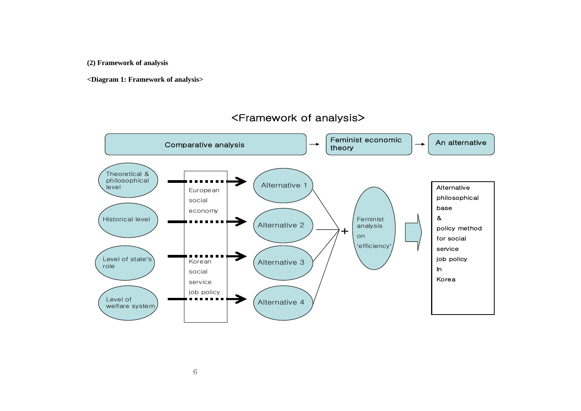**(2) Framework of analysis** 

**<Diagram 1: Framework of analysis>** 



# <Framework of analysis>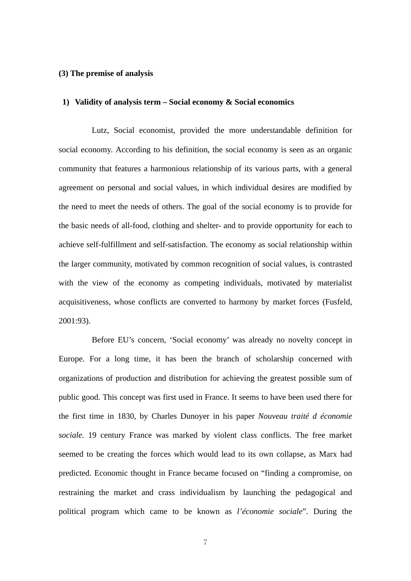#### **(3) The premise of analysis**

#### **1) Validity of analysis term – Social economy & Social economics**

Lutz, Social economist, provided the more understandable definition for social economy. According to his definition, the social economy is seen as an organic community that features a harmonious relationship of its various parts, with a general agreement on personal and social values, in which individual desires are modified by the need to meet the needs of others. The goal of the social economy is to provide for the basic needs of all-food, clothing and shelter- and to provide opportunity for each to achieve self-fulfillment and self-satisfaction. The economy as social relationship within the larger community, motivated by common recognition of social values, is contrasted with the view of the economy as competing individuals, motivated by materialist acquisitiveness, whose conflicts are converted to harmony by market forces (Fusfeld, 2001:93).

Before EU's concern, 'Social economy' was already no novelty concept in Europe. For a long time, it has been the branch of scholarship concerned with organizations of production and distribution for achieving the greatest possible sum of public good. This concept was first used in France. It seems to have been used there for the first time in 1830, by Charles Dunoyer in his paper *Nouveau traité d économie sociale.* 19 century France was marked by violent class conflicts. The free market seemed to be creating the forces which would lead to its own collapse, as Marx had predicted. Economic thought in France became focused on "finding a compromise, on restraining the market and crass individualism by launching the pedagogical and political program which came to be known as *l'économie sociale*". During the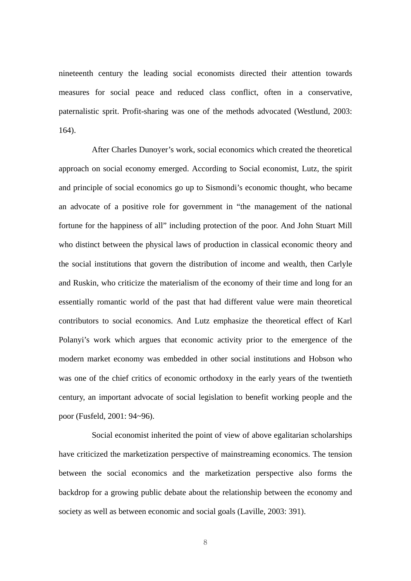nineteenth century the leading social economists directed their attention towards measures for social peace and reduced class conflict, often in a conservative, paternalistic sprit. Profit-sharing was one of the methods advocated (Westlund, 2003: 164).

After Charles Dunoyer's work, social economics which created the theoretical approach on social economy emerged. According to Social economist, Lutz, the spirit and principle of social economics go up to Sismondi's economic thought, who became an advocate of a positive role for government in "the management of the national fortune for the happiness of all" including protection of the poor. And John Stuart Mill who distinct between the physical laws of production in classical economic theory and the social institutions that govern the distribution of income and wealth, then Carlyle and Ruskin, who criticize the materialism of the economy of their time and long for an essentially romantic world of the past that had different value were main theoretical contributors to social economics. And Lutz emphasize the theoretical effect of Karl Polanyi's work which argues that economic activity prior to the emergence of the modern market economy was embedded in other social institutions and Hobson who was one of the chief critics of economic orthodoxy in the early years of the twentieth century, an important advocate of social legislation to benefit working people and the poor (Fusfeld, 2001: 94~96).

Social economist inherited the point of view of above egalitarian scholarships have criticized the marketization perspective of mainstreaming economics. The tension between the social economics and the marketization perspective also forms the backdrop for a growing public debate about the relationship between the economy and society as well as between economic and social goals (Laville, 2003: 391).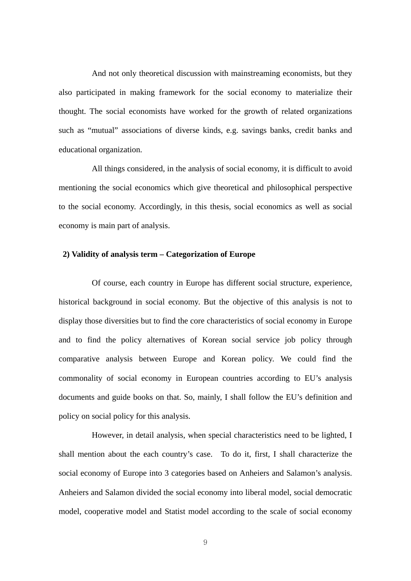And not only theoretical discussion with mainstreaming economists, but they also participated in making framework for the social economy to materialize their thought. The social economists have worked for the growth of related organizations such as "mutual" associations of diverse kinds, e.g. savings banks, credit banks and educational organization.

All things considered, in the analysis of social economy, it is difficult to avoid mentioning the social economics which give theoretical and philosophical perspective to the social economy. Accordingly, in this thesis, social economics as well as social economy is main part of analysis.

## **2) Validity of analysis term – Categorization of Europe**

Of course, each country in Europe has different social structure, experience, historical background in social economy. But the objective of this analysis is not to display those diversities but to find the core characteristics of social economy in Europe and to find the policy alternatives of Korean social service job policy through comparative analysis between Europe and Korean policy. We could find the commonality of social economy in European countries according to EU's analysis documents and guide books on that. So, mainly, I shall follow the EU's definition and policy on social policy for this analysis.

However, in detail analysis, when special characteristics need to be lighted, I shall mention about the each country's case. To do it, first, I shall characterize the social economy of Europe into 3 categories based on Anheiers and Salamon's analysis. Anheiers and Salamon divided the social economy into liberal model, social democratic model, cooperative model and Statist model according to the scale of social economy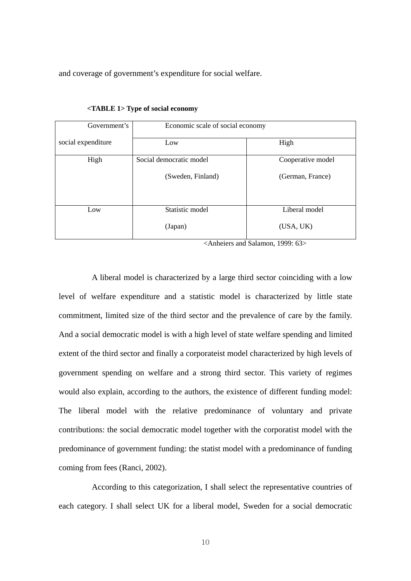and coverage of government's expenditure for social welfare.

| Government's       | Economic scale of social economy |                   |  |  |
|--------------------|----------------------------------|-------------------|--|--|
| social expenditure | Low                              | High              |  |  |
| High               | Social democratic model          | Cooperative model |  |  |
|                    | (Sweden, Finland)                | (German, France)  |  |  |
| Low                | Statistic model                  | Liberal model     |  |  |
|                    | (Japan)                          | (USA, UK)         |  |  |

**<TABLE 1> Type of social economy** 

<Anheiers and Salamon, 1999: 63>

A liberal model is characterized by a large third sector coinciding with a low level of welfare expenditure and a statistic model is characterized by little state commitment, limited size of the third sector and the prevalence of care by the family. And a social democratic model is with a high level of state welfare spending and limited extent of the third sector and finally a corporateist model characterized by high levels of government spending on welfare and a strong third sector. This variety of regimes would also explain, according to the authors, the existence of different funding model: The liberal model with the relative predominance of voluntary and private contributions: the social democratic model together with the corporatist model with the predominance of government funding: the statist model with a predominance of funding coming from fees (Ranci, 2002).

According to this categorization, I shall select the representative countries of each category. I shall select UK for a liberal model, Sweden for a social democratic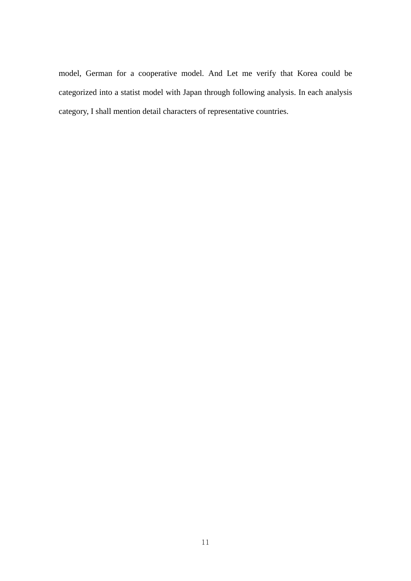model, German for a cooperative model. And Let me verify that Korea could be categorized into a statist model with Japan through following analysis. In each analysis category, I shall mention detail characters of representative countries.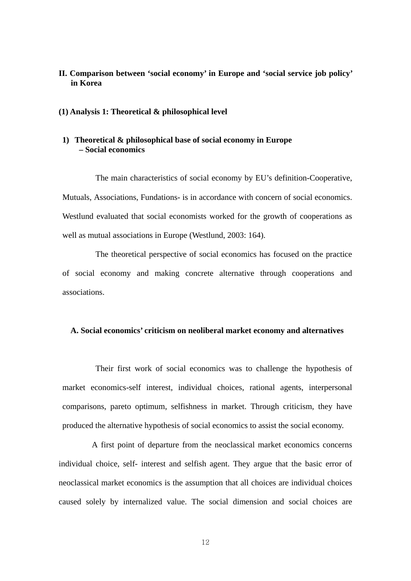## **II. Comparison between 'social economy' in Europe and 'social service job policy' in Korea**

#### **(1) Analysis 1: Theoretical & philosophical level**

## **1) Theoretical & philosophical base of social economy in Europe – Social economics**

The main characteristics of social economy by EU's definition-Cooperative, Mutuals, Associations, Fundations- is in accordance with concern of social economics. Westlund evaluated that social economists worked for the growth of cooperations as well as mutual associations in Europe (Westlund, 2003: 164).

The theoretical perspective of social economics has focused on the practice of social economy and making concrete alternative through cooperations and associations.

#### **A. Social economics' criticism on neoliberal market economy and alternatives**

Their first work of social economics was to challenge the hypothesis of market economics-self interest, individual choices, rational agents, interpersonal comparisons, pareto optimum, selfishness in market. Through criticism, they have produced the alternative hypothesis of social economics to assist the social economy.

A first point of departure from the neoclassical market economics concerns individual choice, self- interest and selfish agent. They argue that the basic error of neoclassical market economics is the assumption that all choices are individual choices caused solely by internalized value. The social dimension and social choices are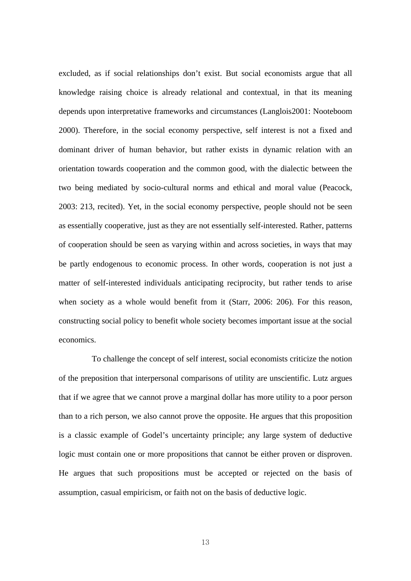excluded, as if social relationships don't exist. But social economists argue that all knowledge raising choice is already relational and contextual, in that its meaning depends upon interpretative frameworks and circumstances (Langlois2001: Nooteboom 2000). Therefore, in the social economy perspective, self interest is not a fixed and dominant driver of human behavior, but rather exists in dynamic relation with an orientation towards cooperation and the common good, with the dialectic between the two being mediated by socio-cultural norms and ethical and moral value (Peacock, 2003: 213, recited). Yet, in the social economy perspective, people should not be seen as essentially cooperative, just as they are not essentially self-interested. Rather, patterns of cooperation should be seen as varying within and across societies, in ways that may be partly endogenous to economic process. In other words, cooperation is not just a matter of self-interested individuals anticipating reciprocity, but rather tends to arise when society as a whole would benefit from it (Starr, 2006: 206). For this reason, constructing social policy to benefit whole society becomes important issue at the social economics.

To challenge the concept of self interest, social economists criticize the notion of the preposition that interpersonal comparisons of utility are unscientific. Lutz argues that if we agree that we cannot prove a marginal dollar has more utility to a poor person than to a rich person, we also cannot prove the opposite. He argues that this proposition is a classic example of Godel's uncertainty principle; any large system of deductive logic must contain one or more propositions that cannot be either proven or disproven. He argues that such propositions must be accepted or rejected on the basis of assumption, casual empiricism, or faith not on the basis of deductive logic.

13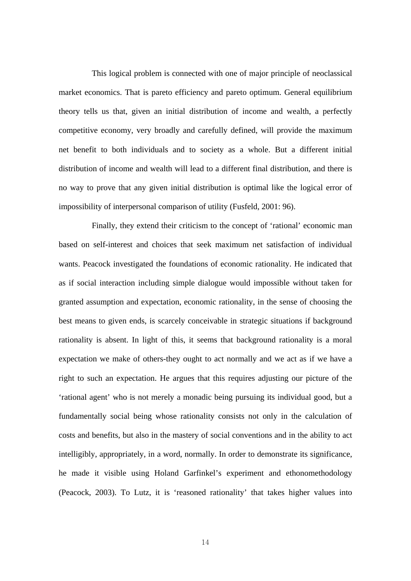This logical problem is connected with one of major principle of neoclassical market economics. That is pareto efficiency and pareto optimum. General equilibrium theory tells us that, given an initial distribution of income and wealth, a perfectly competitive economy, very broadly and carefully defined, will provide the maximum net benefit to both individuals and to society as a whole. But a different initial distribution of income and wealth will lead to a different final distribution, and there is no way to prove that any given initial distribution is optimal like the logical error of impossibility of interpersonal comparison of utility (Fusfeld, 2001: 96).

Finally, they extend their criticism to the concept of 'rational' economic man based on self-interest and choices that seek maximum net satisfaction of individual wants. Peacock investigated the foundations of economic rationality. He indicated that as if social interaction including simple dialogue would impossible without taken for granted assumption and expectation, economic rationality, in the sense of choosing the best means to given ends, is scarcely conceivable in strategic situations if background rationality is absent. In light of this, it seems that background rationality is a moral expectation we make of others-they ought to act normally and we act as if we have a right to such an expectation. He argues that this requires adjusting our picture of the 'rational agent' who is not merely a monadic being pursuing its individual good, but a fundamentally social being whose rationality consists not only in the calculation of costs and benefits, but also in the mastery of social conventions and in the ability to act intelligibly, appropriately, in a word, normally. In order to demonstrate its significance, he made it visible using Holand Garfinkel's experiment and ethonomethodology (Peacock, 2003). To Lutz, it is 'reasoned rationality' that takes higher values into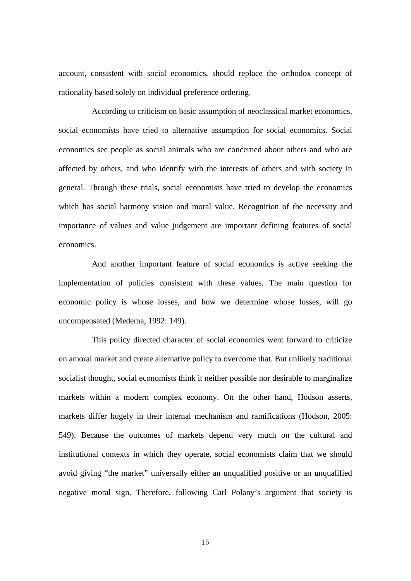account, consistent with social economics, should replace the orthodox concept of rationality based solely on individual preference ordering.

According to criticism on basic assumption of neoclassical market economics, social economists have tried to alternative assumption for social economics. Social economics see people as social animals who are concerned about others and who are affected by others, and who identify with the interests of others and with society in general. Through these trials, social economists have tried to develop the economics which has social harmony vision and moral value. Recognition of the necessity and importance of values and value judgement are important defining features of social economics.

And another important feature of social economics is active seeking the implementation of policies consistent with these values. The main question for economic policy is whose losses, and how we determine whose losses, will go uncompensated (Medema, 1992: 149).

This policy directed character of social economics went forward to criticize on amoral market and create alternative policy to overcome that. But unlikely traditional socialist thought, social economists think it neither possible nor desirable to marginalize markets within a modern complex economy. On the other hand, Hodson asserts, markets differ hugely in their internal mechanism and ramifications (Hodson, 2005: 549). Because the outcomes of markets depend very much on the cultural and institutional contexts in which they operate, social economists claim that we should avoid giving "the market" universally either an unqualified positive or an unqualified negative moral sign. Therefore, following Carl Polany's argument that society is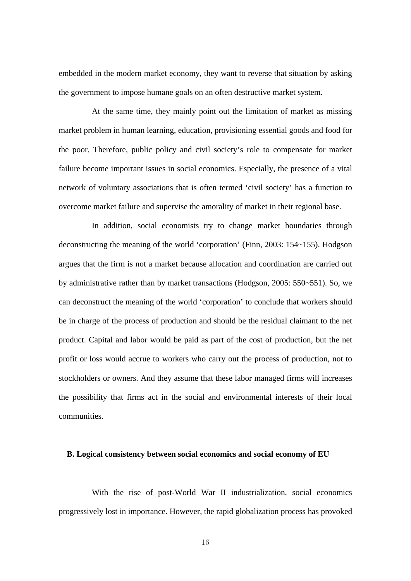embedded in the modern market economy, they want to reverse that situation by asking the government to impose humane goals on an often destructive market system.

At the same time, they mainly point out the limitation of market as missing market problem in human learning, education, provisioning essential goods and food for the poor. Therefore, public policy and civil society's role to compensate for market failure become important issues in social economics. Especially, the presence of a vital network of voluntary associations that is often termed 'civil society' has a function to overcome market failure and supervise the amorality of market in their regional base.

In addition, social economists try to change market boundaries through deconstructing the meaning of the world 'corporation' (Finn, 2003: 154~155). Hodgson argues that the firm is not a market because allocation and coordination are carried out by administrative rather than by market transactions (Hodgson, 2005: 550~551). So, we can deconstruct the meaning of the world 'corporation' to conclude that workers should be in charge of the process of production and should be the residual claimant to the net product. Capital and labor would be paid as part of the cost of production, but the net profit or loss would accrue to workers who carry out the process of production, not to stockholders or owners. And they assume that these labor managed firms will increases the possibility that firms act in the social and environmental interests of their local communities.

#### **B. Logical consistency between social economics and social economy of EU**

With the rise of post-World War II industrialization, social economics progressively lost in importance. However, the rapid globalization process has provoked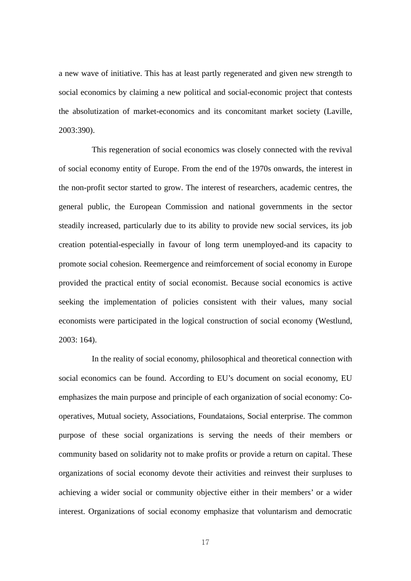a new wave of initiative. This has at least partly regenerated and given new strength to social economics by claiming a new political and social-economic project that contests the absolutization of market-economics and its concomitant market society (Laville, 2003:390).

This regeneration of social economics was closely connected with the revival of social economy entity of Europe. From the end of the 1970s onwards, the interest in the non-profit sector started to grow. The interest of researchers, academic centres, the general public, the European Commission and national governments in the sector steadily increased, particularly due to its ability to provide new social services, its job creation potential-especially in favour of long term unemployed-and its capacity to promote social cohesion. Reemergence and reimforcement of social economy in Europe provided the practical entity of social economist. Because social economics is active seeking the implementation of policies consistent with their values, many social economists were participated in the logical construction of social economy (Westlund, 2003: 164).

In the reality of social economy, philosophical and theoretical connection with social economics can be found. According to EU's document on social economy, EU emphasizes the main purpose and principle of each organization of social economy: Cooperatives, Mutual society, Associations, Foundataions, Social enterprise. The common purpose of these social organizations is serving the needs of their members or community based on solidarity not to make profits or provide a return on capital. These organizations of social economy devote their activities and reinvest their surpluses to achieving a wider social or community objective either in their members' or a wider interest. Organizations of social economy emphasize that voluntarism and democratic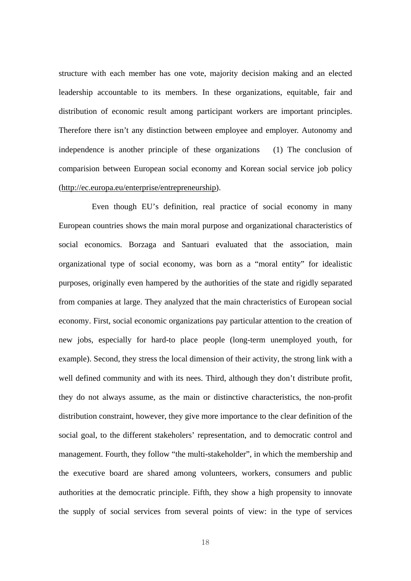structure with each member has one vote, majority decision making and an elected leadership accountable to its members. In these organizations, equitable, fair and distribution of economic result among participant workers are important principles. Therefore there isn't any distinction between employee and employer. Autonomy and independence is another principle of these organizations (1) The conclusion of comparision between European social economy and Korean social service job policy (http://ec.europa.eu/enterprise/entrepreneurship).

Even though EU's definition, real practice of social economy in many European countries shows the main moral purpose and organizational characteristics of social economics. Borzaga and Santuari evaluated that the association, main organizational type of social economy, was born as a "moral entity" for idealistic purposes, originally even hampered by the authorities of the state and rigidly separated from companies at large. They analyzed that the main chracteristics of European social economy. First, social economic organizations pay particular attention to the creation of new jobs, especially for hard-to place people (long-term unemployed youth, for example). Second, they stress the local dimension of their activity, the strong link with a well defined community and with its nees. Third, although they don't distribute profit, they do not always assume, as the main or distinctive characteristics, the non-profit distribution constraint, however, they give more importance to the clear definition of the social goal, to the different stakeholers' representation, and to democratic control and management. Fourth, they follow "the multi-stakeholder", in which the membership and the executive board are shared among volunteers, workers, consumers and public authorities at the democratic principle. Fifth, they show a high propensity to innovate the supply of social services from several points of view: in the type of services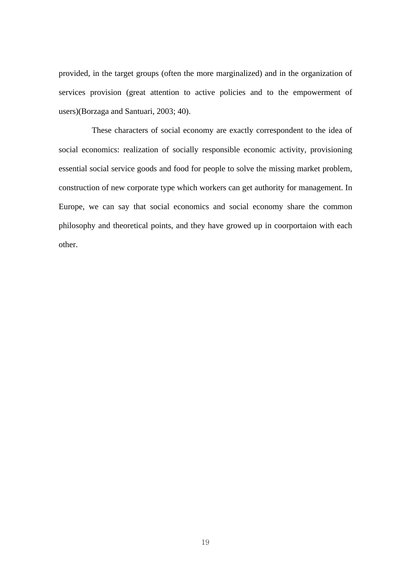provided, in the target groups (often the more marginalized) and in the organization of services provision (great attention to active policies and to the empowerment of users)(Borzaga and Santuari, 2003; 40).

These characters of social economy are exactly correspondent to the idea of social economics: realization of socially responsible economic activity, provisioning essential social service goods and food for people to solve the missing market problem, construction of new corporate type which workers can get authority for management. In Europe, we can say that social economics and social economy share the common philosophy and theoretical points, and they have growed up in coorportaion with each other.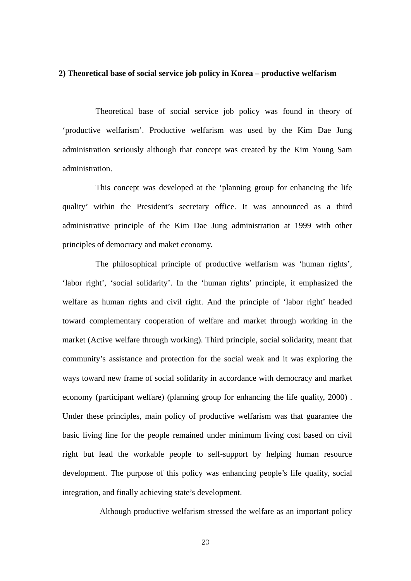#### **2) Theoretical base of social service job policy in Korea – productive welfarism**

Theoretical base of social service job policy was found in theory of 'productive welfarism'. Productive welfarism was used by the Kim Dae Jung administration seriously although that concept was created by the Kim Young Sam administration.

This concept was developed at the 'planning group for enhancing the life quality' within the President's secretary office. It was announced as a third administrative principle of the Kim Dae Jung administration at 1999 with other principles of democracy and maket economy.

The philosophical principle of productive welfarism was 'human rights', 'labor right', 'social solidarity'. In the 'human rights' principle, it emphasized the welfare as human rights and civil right. And the principle of 'labor right' headed toward complementary cooperation of welfare and market through working in the market (Active welfare through working). Third principle, social solidarity, meant that community's assistance and protection for the social weak and it was exploring the ways toward new frame of social solidarity in accordance with democracy and market economy (participant welfare) (planning group for enhancing the life quality, 2000) . Under these principles, main policy of productive welfarism was that guarantee the basic living line for the people remained under minimum living cost based on civil right but lead the workable people to self-support by helping human resource development. The purpose of this policy was enhancing people's life quality, social integration, and finally achieving state's development.

Although productive welfarism stressed the welfare as an important policy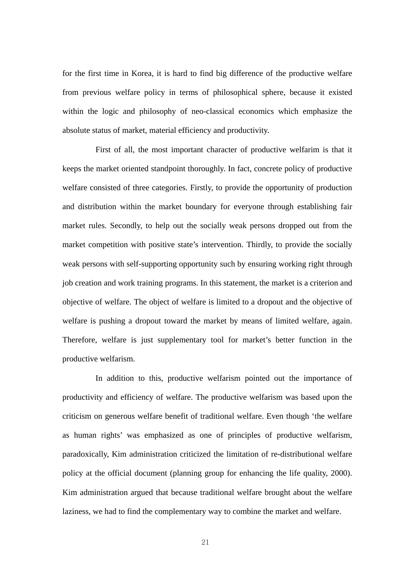for the first time in Korea, it is hard to find big difference of the productive welfare from previous welfare policy in terms of philosophical sphere, because it existed within the logic and philosophy of neo-classical economics which emphasize the absolute status of market, material efficiency and productivity.

First of all, the most important character of productive welfarim is that it keeps the market oriented standpoint thoroughly. In fact, concrete policy of productive welfare consisted of three categories. Firstly, to provide the opportunity of production and distribution within the market boundary for everyone through establishing fair market rules. Secondly, to help out the socially weak persons dropped out from the market competition with positive state's intervention. Thirdly, to provide the socially weak persons with self-supporting opportunity such by ensuring working right through job creation and work training programs. In this statement, the market is a criterion and objective of welfare. The object of welfare is limited to a dropout and the objective of welfare is pushing a dropout toward the market by means of limited welfare, again. Therefore, welfare is just supplementary tool for market's better function in the productive welfarism.

In addition to this, productive welfarism pointed out the importance of productivity and efficiency of welfare. The productive welfarism was based upon the criticism on generous welfare benefit of traditional welfare. Even though 'the welfare as human rights' was emphasized as one of principles of productive welfarism, paradoxically, Kim administration criticized the limitation of re-distributional welfare policy at the official document (planning group for enhancing the life quality, 2000). Kim administration argued that because traditional welfare brought about the welfare laziness, we had to find the complementary way to combine the market and welfare.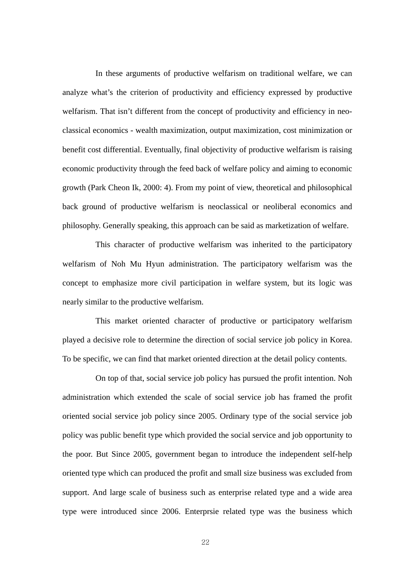In these arguments of productive welfarism on traditional welfare, we can analyze what's the criterion of productivity and efficiency expressed by productive welfarism. That isn't different from the concept of productivity and efficiency in neoclassical economics - wealth maximization, output maximization, cost minimization or benefit cost differential. Eventually, final objectivity of productive welfarism is raising economic productivity through the feed back of welfare policy and aiming to economic growth (Park Cheon Ik, 2000: 4). From my point of view, theoretical and philosophical back ground of productive welfarism is neoclassical or neoliberal economics and philosophy. Generally speaking, this approach can be said as marketization of welfare.

This character of productive welfarism was inherited to the participatory welfarism of Noh Mu Hyun administration. The participatory welfarism was the concept to emphasize more civil participation in welfare system, but its logic was nearly similar to the productive welfarism.

This market oriented character of productive or participatory welfarism played a decisive role to determine the direction of social service job policy in Korea. To be specific, we can find that market oriented direction at the detail policy contents.

On top of that, social service job policy has pursued the profit intention. Noh administration which extended the scale of social service job has framed the profit oriented social service job policy since 2005. Ordinary type of the social service job policy was public benefit type which provided the social service and job opportunity to the poor. But Since 2005, government began to introduce the independent self-help oriented type which can produced the profit and small size business was excluded from support. And large scale of business such as enterprise related type and a wide area type were introduced since 2006. Enterprsie related type was the business which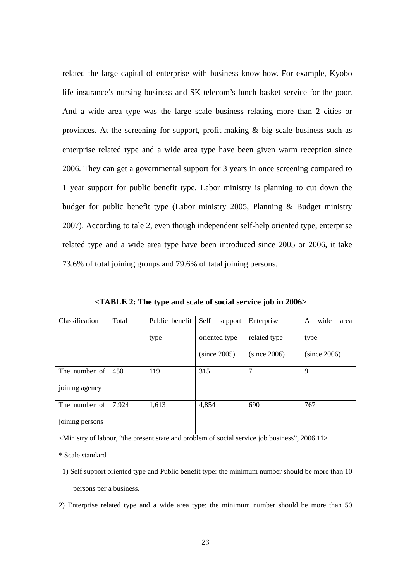related the large capital of enterprise with business know-how. For example, Kyobo life insurance's nursing business and SK telecom's lunch basket service for the poor. And a wide area type was the large scale business relating more than 2 cities or provinces. At the screening for support, profit-making & big scale business such as enterprise related type and a wide area type have been given warm reception since 2006. They can get a governmental support for 3 years in once screening compared to 1 year support for public benefit type. Labor ministry is planning to cut down the budget for public benefit type (Labor ministry 2005, Planning & Budget ministry 2007). According to tale 2, even though independent self-help oriented type, enterprise related type and a wide area type have been introduced since 2005 or 2006, it take 73.6% of total joining groups and 79.6% of tatal joining persons.

| Classification  | <b>Total</b> | Public benefit | Self<br>support | Enterprise   | wide<br>A<br>area |
|-----------------|--------------|----------------|-----------------|--------------|-------------------|
|                 |              | type           | oriented type   | related type | type              |
|                 |              |                | (since 2005)    | (since 2006) | (since 2006)      |
| The number of   | 450          | 119            | 315             | 7            | 9                 |
| joining agency  |              |                |                 |              |                   |
| The number of   | 7.924        | 1,613          | 4,854           | 690          | 767               |
| joining persons |              |                |                 |              |                   |

**<TABLE 2: The type and scale of social service job in 2006>** 

<Ministry of labour, "the present state and problem of social service job business", 2006.11>

\* Scale standard

1) Self support oriented type and Public benefit type: the minimum number should be more than 10 persons per a business.

2) Enterprise related type and a wide area type: the minimum number should be more than 50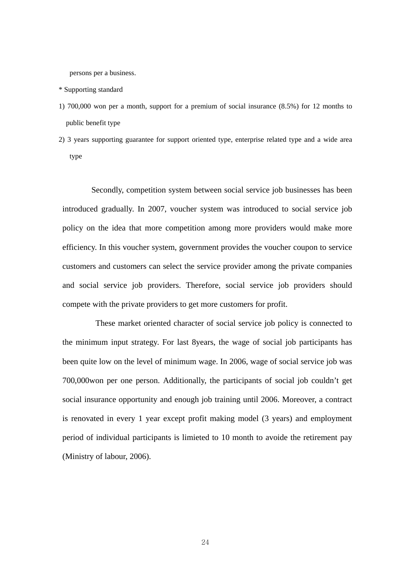persons per a business.

- \* Supporting standard
- 1) 700,000 won per a month, support for a premium of social insurance (8.5%) for 12 months to public benefit type
- 2) 3 years supporting guarantee for support oriented type, enterprise related type and a wide area type

Secondly, competition system between social service job businesses has been introduced gradually. In 2007, voucher system was introduced to social service job policy on the idea that more competition among more providers would make more efficiency. In this voucher system, government provides the voucher coupon to service customers and customers can select the service provider among the private companies and social service job providers. Therefore, social service job providers should compete with the private providers to get more customers for profit.

These market oriented character of social service job policy is connected to the minimum input strategy. For last 8years, the wage of social job participants has been quite low on the level of minimum wage. In 2006, wage of social service job was 700,000won per one person. Additionally, the participants of social job couldn't get social insurance opportunity and enough job training until 2006. Moreover, a contract is renovated in every 1 year except profit making model (3 years) and employment period of individual participants is limieted to 10 month to avoide the retirement pay (Ministry of labour, 2006).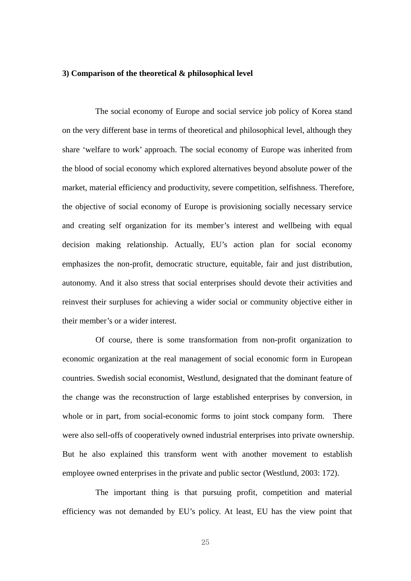#### **3) Comparison of the theoretical & philosophical level**

The social economy of Europe and social service job policy of Korea stand on the very different base in terms of theoretical and philosophical level, although they share 'welfare to work' approach. The social economy of Europe was inherited from the blood of social economy which explored alternatives beyond absolute power of the market, material efficiency and productivity, severe competition, selfishness. Therefore, the objective of social economy of Europe is provisioning socially necessary service and creating self organization for its member's interest and wellbeing with equal decision making relationship. Actually, EU's action plan for social economy emphasizes the non-profit, democratic structure, equitable, fair and just distribution, autonomy. And it also stress that social enterprises should devote their activities and reinvest their surpluses for achieving a wider social or community objective either in their member's or a wider interest.

Of course, there is some transformation from non-profit organization to economic organization at the real management of social economic form in European countries. Swedish social economist, Westlund, designated that the dominant feature of the change was the reconstruction of large established enterprises by conversion, in whole or in part, from social-economic forms to joint stock company form. There were also sell-offs of cooperatively owned industrial enterprises into private ownership. But he also explained this transform went with another movement to establish employee owned enterprises in the private and public sector (Westlund, 2003: 172).

The important thing is that pursuing profit, competition and material efficiency was not demanded by EU's policy. At least, EU has the view point that

25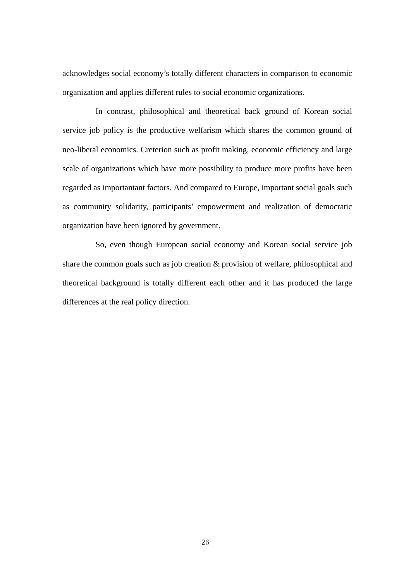acknowledges social economy's totally different characters in comparison to economic organization and applies different rules to social economic organizations.

In contrast, philosophical and theoretical back ground of Korean social service job policy is the productive welfarism which shares the common ground of neo-liberal economics. Creterion such as profit making, economic efficiency and large scale of organizations which have more possibility to produce more profits have been regarded as importantant factors. And compared to Europe, important social goals such as community solidarity, participants' empowerment and realization of democratic organization have been ignored by government.

So, even though European social economy and Korean social service job share the common goals such as job creation & provision of welfare, philosophical and theoretical background is totally different each other and it has produced the large differences at the real policy direction.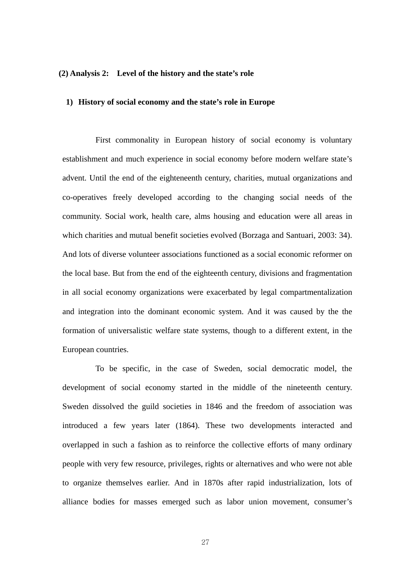### **(2) Analysis 2: Level of the history and the state's role**

#### **1) History of social economy and the state's role in Europe**

First commonality in European history of social economy is voluntary establishment and much experience in social economy before modern welfare state's advent. Until the end of the eighteneenth century, charities, mutual organizations and co-operatives freely developed according to the changing social needs of the community. Social work, health care, alms housing and education were all areas in which charities and mutual benefit societies evolved (Borzaga and Santuari, 2003: 34). And lots of diverse volunteer associations functioned as a social economic reformer on the local base. But from the end of the eighteenth century, divisions and fragmentation in all social economy organizations were exacerbated by legal compartmentalization and integration into the dominant economic system. And it was caused by the the formation of universalistic welfare state systems, though to a different extent, in the European countries.

To be specific, in the case of Sweden, social democratic model, the development of social economy started in the middle of the nineteenth century. Sweden dissolved the guild societies in 1846 and the freedom of association was introduced a few years later (1864). These two developments interacted and overlapped in such a fashion as to reinforce the collective efforts of many ordinary people with very few resource, privileges, rights or alternatives and who were not able to organize themselves earlier. And in 1870s after rapid industrialization, lots of alliance bodies for masses emerged such as labor union movement, consumer's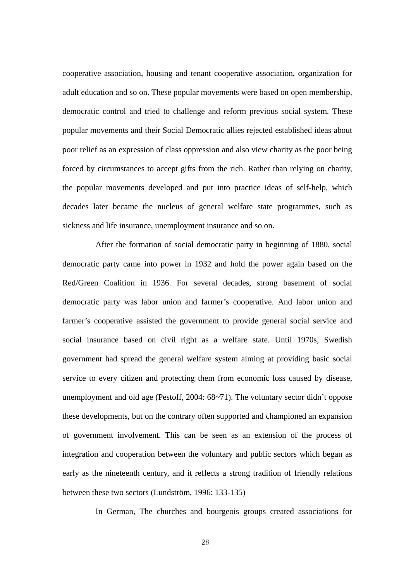cooperative association, housing and tenant cooperative association, organization for adult education and so on. These popular movements were based on open membership, democratic control and tried to challenge and reform previous social system. These popular movements and their Social Democratic allies rejected established ideas about poor relief as an expression of class oppression and also view charity as the poor being forced by circumstances to accept gifts from the rich. Rather than relying on charity, the popular movements developed and put into practice ideas of self-help, which decades later became the nucleus of general welfare state programmes, such as sickness and life insurance, unemployment insurance and so on.

After the formation of social democratic party in beginning of 1880, social democratic party came into power in 1932 and hold the power again based on the Red/Green Coalition in 1936. For several decades, strong basement of social democratic party was labor union and farmer's cooperative. And labor union and farmer's cooperative assisted the government to provide general social service and social insurance based on civil right as a welfare state. Until 1970s, Swedish government had spread the general welfare system aiming at providing basic social service to every citizen and protecting them from economic loss caused by disease, unemployment and old age (Pestoff, 2004: 68~71). The voluntary sector didn't oppose these developments, but on the contrary often supported and championed an expansion of government involvement. This can be seen as an extension of the process of integration and cooperation between the voluntary and public sectors which began as early as the nineteenth century, and it reflects a strong tradition of friendly relations between these two sectors (Lundström, 1996: 133-135)

In German, The churches and bourgeois groups created associations for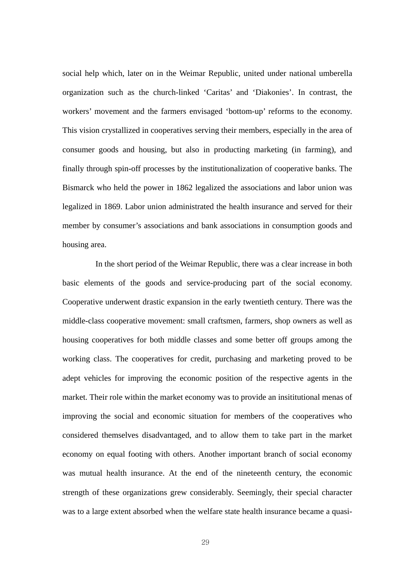social help which, later on in the Weimar Republic, united under national umberella organization such as the church-linked 'Caritas' and 'Diakonies'. In contrast, the workers' movement and the farmers envisaged 'bottom-up' reforms to the economy. This vision crystallized in cooperatives serving their members, especially in the area of consumer goods and housing, but also in producting marketing (in farming), and finally through spin-off processes by the institutionalization of cooperative banks. The Bismarck who held the power in 1862 legalized the associations and labor union was legalized in 1869. Labor union administrated the health insurance and served for their member by consumer's associations and bank associations in consumption goods and housing area.

In the short period of the Weimar Republic, there was a clear increase in both basic elements of the goods and service-producing part of the social economy. Cooperative underwent drastic expansion in the early twentieth century. There was the middle-class cooperative movement: small craftsmen, farmers, shop owners as well as housing cooperatives for both middle classes and some better off groups among the working class. The cooperatives for credit, purchasing and marketing proved to be adept vehicles for improving the economic position of the respective agents in the market. Their role within the market economy was to provide an insititutional menas of improving the social and economic situation for members of the cooperatives who considered themselves disadvantaged, and to allow them to take part in the market economy on equal footing with others. Another important branch of social economy was mutual health insurance. At the end of the nineteenth century, the economic strength of these organizations grew considerably. Seemingly, their special character was to a large extent absorbed when the welfare state health insurance became a quasi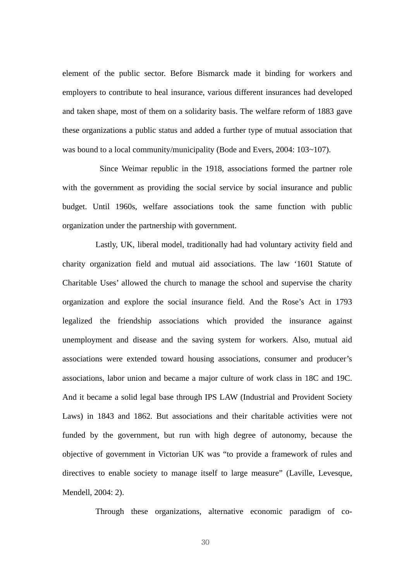element of the public sector. Before Bismarck made it binding for workers and employers to contribute to heal insurance, various different insurances had developed and taken shape, most of them on a solidarity basis. The welfare reform of 1883 gave these organizations a public status and added a further type of mutual association that was bound to a local community/municipality (Bode and Evers, 2004: 103~107).

 Since Weimar republic in the 1918, associations formed the partner role with the government as providing the social service by social insurance and public budget. Until 1960s, welfare associations took the same function with public organization under the partnership with government.

Lastly, UK, liberal model, traditionally had had voluntary activity field and charity organization field and mutual aid associations. The law '1601 Statute of Charitable Uses' allowed the church to manage the school and supervise the charity organization and explore the social insurance field. And the Rose's Act in 1793 legalized the friendship associations which provided the insurance against unemployment and disease and the saving system for workers. Also, mutual aid associations were extended toward housing associations, consumer and producer's associations, labor union and became a major culture of work class in 18C and 19C. And it became a solid legal base through IPS LAW (Industrial and Provident Society Laws) in 1843 and 1862. But associations and their charitable activities were not funded by the government, but run with high degree of autonomy, because the objective of government in Victorian UK was "to provide a framework of rules and directives to enable society to manage itself to large measure" (Laville, Levesque, Mendell, 2004: 2).

Through these organizations, alternative economic paradigm of co-

30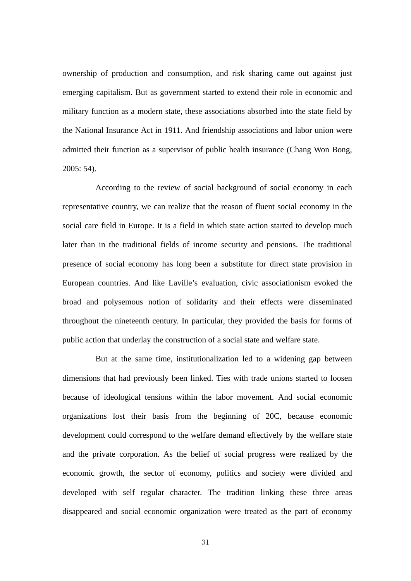ownership of production and consumption, and risk sharing came out against just emerging capitalism. But as government started to extend their role in economic and military function as a modern state, these associations absorbed into the state field by the National Insurance Act in 1911. And friendship associations and labor union were admitted their function as a supervisor of public health insurance (Chang Won Bong, 2005: 54).

According to the review of social background of social economy in each representative country, we can realize that the reason of fluent social economy in the social care field in Europe. It is a field in which state action started to develop much later than in the traditional fields of income security and pensions. The traditional presence of social economy has long been a substitute for direct state provision in European countries. And like Laville's evaluation, civic associationism evoked the broad and polysemous notion of solidarity and their effects were disseminated throughout the nineteenth century. In particular, they provided the basis for forms of public action that underlay the construction of a social state and welfare state.

But at the same time, institutionalization led to a widening gap between dimensions that had previously been linked. Ties with trade unions started to loosen because of ideological tensions within the labor movement. And social economic organizations lost their basis from the beginning of 20C, because economic development could correspond to the welfare demand effectively by the welfare state and the private corporation. As the belief of social progress were realized by the economic growth, the sector of economy, politics and society were divided and developed with self regular character. The tradition linking these three areas disappeared and social economic organization were treated as the part of economy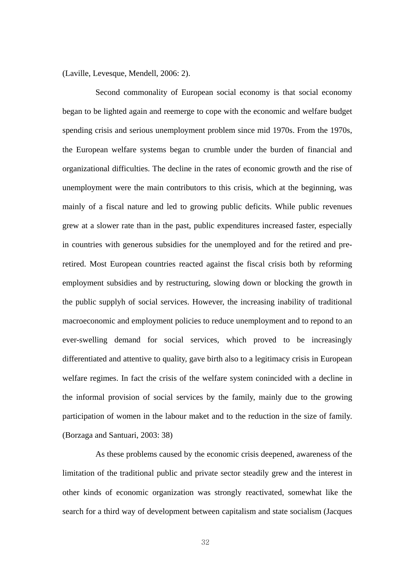(Laville, Levesque, Mendell, 2006: 2).

Second commonality of European social economy is that social economy began to be lighted again and reemerge to cope with the economic and welfare budget spending crisis and serious unemployment problem since mid 1970s. From the 1970s, the European welfare systems began to crumble under the burden of financial and organizational difficulties. The decline in the rates of economic growth and the rise of unemployment were the main contributors to this crisis, which at the beginning, was mainly of a fiscal nature and led to growing public deficits. While public revenues grew at a slower rate than in the past, public expenditures increased faster, especially in countries with generous subsidies for the unemployed and for the retired and preretired. Most European countries reacted against the fiscal crisis both by reforming employment subsidies and by restructuring, slowing down or blocking the growth in the public supplyh of social services. However, the increasing inability of traditional macroeconomic and employment policies to reduce unemployment and to repond to an ever-swelling demand for social services, which proved to be increasingly differentiated and attentive to quality, gave birth also to a legitimacy crisis in European welfare regimes. In fact the crisis of the welfare system conincided with a decline in the informal provision of social services by the family, mainly due to the growing participation of women in the labour maket and to the reduction in the size of family. (Borzaga and Santuari, 2003: 38)

As these problems caused by the economic crisis deepened, awareness of the limitation of the traditional public and private sector steadily grew and the interest in other kinds of economic organization was strongly reactivated, somewhat like the search for a third way of development between capitalism and state socialism (Jacques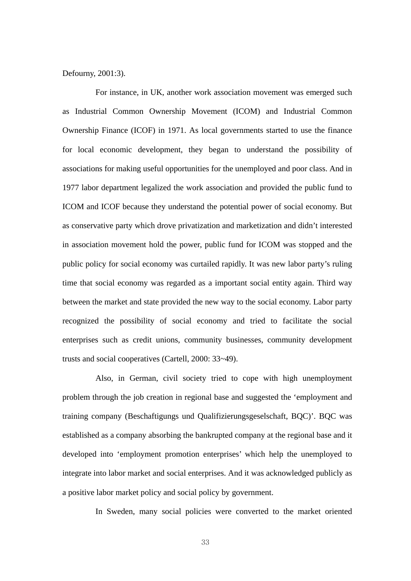#### Defourny, 2001:3).

For instance, in UK, another work association movement was emerged such as Industrial Common Ownership Movement (ICOM) and Industrial Common Ownership Finance (ICOF) in 1971. As local governments started to use the finance for local economic development, they began to understand the possibility of associations for making useful opportunities for the unemployed and poor class. And in 1977 labor department legalized the work association and provided the public fund to ICOM and ICOF because they understand the potential power of social economy. But as conservative party which drove privatization and marketization and didn't interested in association movement hold the power, public fund for ICOM was stopped and the public policy for social economy was curtailed rapidly. It was new labor party's ruling time that social economy was regarded as a important social entity again. Third way between the market and state provided the new way to the social economy. Labor party recognized the possibility of social economy and tried to facilitate the social enterprises such as credit unions, community businesses, community development trusts and social cooperatives (Cartell, 2000: 33~49).

Also, in German, civil society tried to cope with high unemployment problem through the job creation in regional base and suggested the 'employment and training company (Beschaftigungs und Qualifizierungsgeselschaft, BQC)'. BQC was established as a company absorbing the bankrupted company at the regional base and it developed into 'employment promotion enterprises' which help the unemployed to integrate into labor market and social enterprises. And it was acknowledged publicly as a positive labor market policy and social policy by government.

In Sweden, many social policies were converted to the market oriented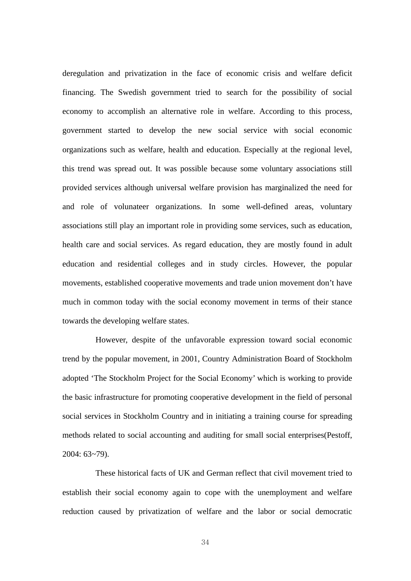deregulation and privatization in the face of economic crisis and welfare deficit financing. The Swedish government tried to search for the possibility of social economy to accomplish an alternative role in welfare. According to this process, government started to develop the new social service with social economic organizations such as welfare, health and education. Especially at the regional level, this trend was spread out. It was possible because some voluntary associations still provided services although universal welfare provision has marginalized the need for and role of volunateer organizations. In some well-defined areas, voluntary associations still play an important role in providing some services, such as education, health care and social services. As regard education, they are mostly found in adult education and residential colleges and in study circles. However, the popular movements, established cooperative movements and trade union movement don't have much in common today with the social economy movement in terms of their stance towards the developing welfare states.

However, despite of the unfavorable expression toward social economic trend by the popular movement, in 2001, Country Administration Board of Stockholm adopted 'The Stockholm Project for the Social Economy' which is working to provide the basic infrastructure for promoting cooperative development in the field of personal social services in Stockholm Country and in initiating a training course for spreading methods related to social accounting and auditing for small social enterprises(Pestoff, 2004: 63~79).

These historical facts of UK and German reflect that civil movement tried to establish their social economy again to cope with the unemployment and welfare reduction caused by privatization of welfare and the labor or social democratic

34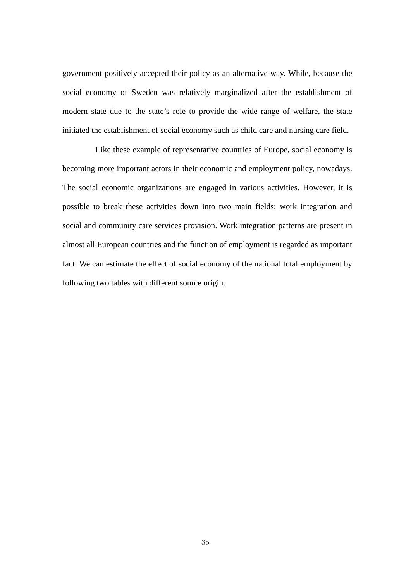government positively accepted their policy as an alternative way. While, because the social economy of Sweden was relatively marginalized after the establishment of modern state due to the state's role to provide the wide range of welfare, the state initiated the establishment of social economy such as child care and nursing care field.

Like these example of representative countries of Europe, social economy is becoming more important actors in their economic and employment policy, nowadays. The social economic organizations are engaged in various activities. However, it is possible to break these activities down into two main fields: work integration and social and community care services provision. Work integration patterns are present in almost all European countries and the function of employment is regarded as important fact. We can estimate the effect of social economy of the national total employment by following two tables with different source origin.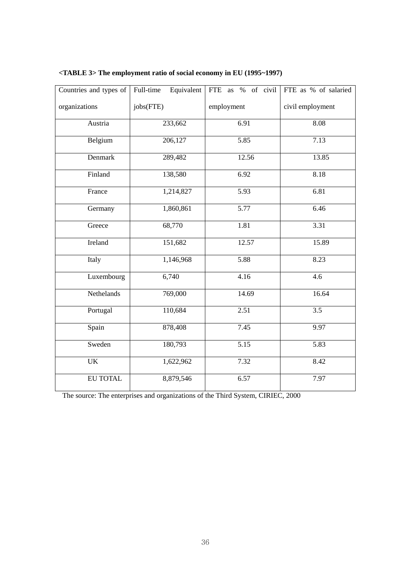| Countries and types of | Full-time<br>Equivalent | FTE as % of civil | FTE as % of salaried |  |  |
|------------------------|-------------------------|-------------------|----------------------|--|--|
| organizations          | jobs(FTE)               | employment        | civil employment     |  |  |
| Austria                | 233,662                 | 6.91              | 8.08                 |  |  |
| Belgium                | 206,127                 | 5.85              | 7.13                 |  |  |
| Denmark                | 289,482                 | 12.56             | 13.85                |  |  |
| Finland                | 138,580                 | 6.92              | 8.18                 |  |  |
| France                 | 1,214,827               | 5.93              | 6.81                 |  |  |
| Germany                | 1,860,861               | 5.77              | 6.46                 |  |  |
| Greece                 | 68,770                  | 1.81              | 3.31                 |  |  |
| Ireland                | 151,682                 | 12.57             | 15.89                |  |  |
| Italy                  | 1,146,968               | 5.88              | 8.23                 |  |  |
| Luxembourg             | 6,740                   | 4.16              | 4.6                  |  |  |
| Nethelands             | 769,000                 | 14.69             | 16.64                |  |  |
| Portugal               | 110,684                 | 2.51              | $\overline{3.5}$     |  |  |
| Spain                  | 878,408                 | 7.45              | 9.97                 |  |  |
| Sweden                 | 180,793                 | 5.15              | 5.83                 |  |  |
| UK                     | 1,622,962               | 7.32              | 8.42                 |  |  |
| EU TOTAL               | 8,879,546               | 6.57              | 7.97                 |  |  |

# **<TABLE 3> The employment ratio of social economy in EU (1995~1997)**

The source: The enterprises and organizations of the Third System, CIRIEC, 2000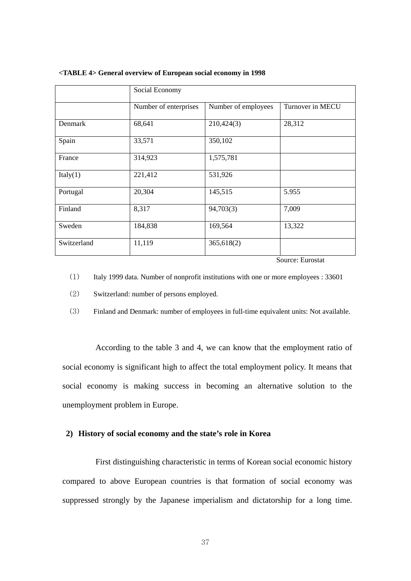|             | Social Economy        |                     |                                    |
|-------------|-----------------------|---------------------|------------------------------------|
|             | Number of enterprises | Number of employees | Turnover in MECU                   |
| Denmark     | 68,641                | 210,424(3)          | 28,312                             |
| Spain       | 33,571                | 350,102             |                                    |
| France      | 314,923               | 1,575,781           |                                    |
| Italy(1)    | 221,412               | 531,926             |                                    |
| Portugal    | 20,304                | 145,515             | 5.955                              |
| Finland     | 8,317                 | 94,703(3)           | 7,009                              |
| Sweden      | 184,838               | 169,564             | 13,322                             |
| Switzerland | 11,119                | 365,618(2)          | $\sim$<br>$\overline{\phantom{0}}$ |

#### **<TABLE 4> General overview of European social economy in 1998**

Source: Eurostat

(1) Italy 1999 data. Number of nonprofit institutions with one or more employees : 33601

(2) Switzerland: number of persons employed.

(3) Finland and Denmark: number of employees in full-time equivalent units: Not available.

According to the table 3 and 4, we can know that the employment ratio of social economy is significant high to affect the total employment policy. It means that social economy is making success in becoming an alternative solution to the unemployment problem in Europe.

#### **2) History of social economy and the state's role in Korea**

First distinguishing characteristic in terms of Korean social economic history compared to above European countries is that formation of social economy was suppressed strongly by the Japanese imperialism and dictatorship for a long time.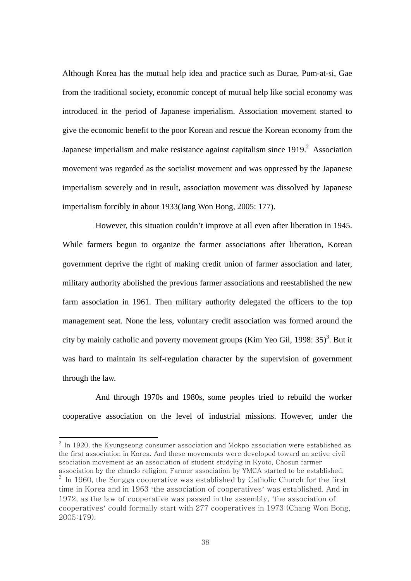Although Korea has the mutual help idea and practice such as Durae, Pum-at-si, Gae from the traditional society, economic concept of mutual help like social economy was introduced in the period of Japanese imperialism. Association movement started to give the economic benefit to the poor Korean and rescue the Korean economy from the Japanese imperialism and make resistance against capitalism since  $1919$ .<sup>2</sup> Association movement was regarded as the socialist movement and was oppressed by the Japanese imperialism severely and in result, association movement was dissolved by Japanese imperialism forcibly in about 1933(Jang Won Bong, 2005: 177).

However, this situation couldn't improve at all even after liberation in 1945. While farmers begun to organize the farmer associations after liberation, Korean government deprive the right of making credit union of farmer association and later, military authority abolished the previous farmer associations and reestablished the new farm association in 1961. Then military authority delegated the officers to the top management seat. None the less, voluntary credit association was formed around the city by mainly catholic and poverty movement groups (Kim Yeo Gil, 1998:  $35$ )<sup>3</sup>. But it was hard to maintain its self-regulation character by the supervision of government through the law.

And through 1970s and 1980s, some peoples tried to rebuild the worker cooperative association on the level of industrial missions. However, under the

-

 $^2$  In 1920, the Kyungseong consumer association and Mokpo association were established as the first association in Korea. And these movements were developed toward an active civil ssociation movement as an association of student studying in Kyoto, Chosun farmer association by the chundo religion, Farmer association by YMCA started to be established.  $3$  In 1960, the Sungga cooperative was established by Catholic Church for the first time in Korea and in 1963 'the association of cooperatives' was established. And in 1972, as the law of cooperative was passed in the assembly, 'the association of cooperatives' could formally start with 277 cooperatives in 1973 (Chang Won Bong, 2005:179).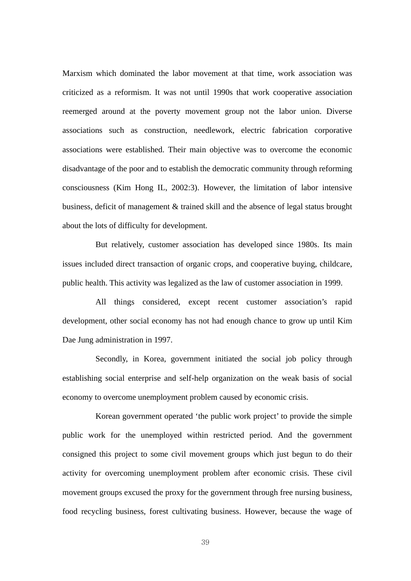Marxism which dominated the labor movement at that time, work association was criticized as a reformism. It was not until 1990s that work cooperative association reemerged around at the poverty movement group not the labor union. Diverse associations such as construction, needlework, electric fabrication corporative associations were established. Their main objective was to overcome the economic disadvantage of the poor and to establish the democratic community through reforming consciousness (Kim Hong IL, 2002:3). However, the limitation of labor intensive business, deficit of management & trained skill and the absence of legal status brought about the lots of difficulty for development.

But relatively, customer association has developed since 1980s. Its main issues included direct transaction of organic crops, and cooperative buying, childcare, public health. This activity was legalized as the law of customer association in 1999.

All things considered, except recent customer association's rapid development, other social economy has not had enough chance to grow up until Kim Dae Jung administration in 1997.

Secondly, in Korea, government initiated the social job policy through establishing social enterprise and self-help organization on the weak basis of social economy to overcome unemployment problem caused by economic crisis.

Korean government operated 'the public work project' to provide the simple public work for the unemployed within restricted period. And the government consigned this project to some civil movement groups which just begun to do their activity for overcoming unemployment problem after economic crisis. These civil movement groups excused the proxy for the government through free nursing business, food recycling business, forest cultivating business. However, because the wage of

39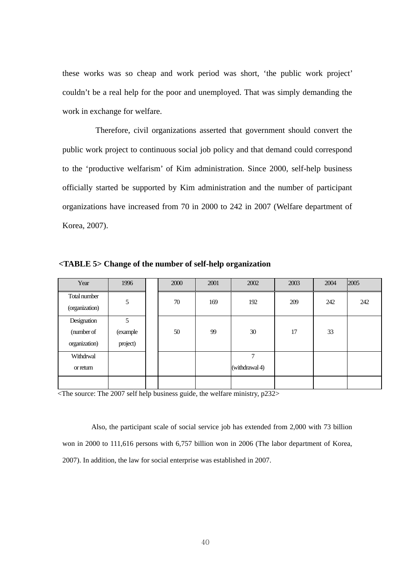these works was so cheap and work period was short, 'the public work project' couldn't be a real help for the poor and unemployed. That was simply demanding the work in exchange for welfare.

Therefore, civil organizations asserted that government should convert the public work project to continuous social job policy and that demand could correspond to the 'productive welfarism' of Kim administration. Since 2000, self-help business officially started be supported by Kim administration and the number of participant organizations have increased from 70 in 2000 to 242 in 2007 (Welfare department of Korea, 2007).

| Year                                       | 1996                      | 2000 | 2001 | 2002                | 2003 | 2004 | 2005 |
|--------------------------------------------|---------------------------|------|------|---------------------|------|------|------|
| Total number<br>(organization)             | 5                         | 70   | 169  | 192                 | 209  | 242  | 242  |
| Designation<br>(number of<br>organization) | 5<br>(example<br>project) | 50   | 99   | 30                  | 17   | 33   |      |
| Withdrwal<br>or return                     |                           |      |      | 7<br>(withdrawal 4) |      |      |      |
|                                            |                           |      |      |                     |      |      |      |

**<TABLE 5> Change of the number of self-help organization** 

<The source: The 2007 self help business guide, the welfare ministry, p232>

Also, the participant scale of social service job has extended from 2,000 with 73 billion won in 2000 to 111,616 persons with 6,757 billion won in 2006 (The labor department of Korea, 2007). In addition, the law for social enterprise was established in 2007.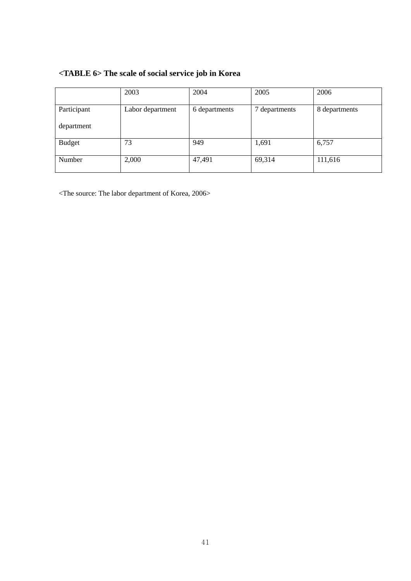# **<TABLE 6> The scale of social service job in Korea**

|               | 2003             | 2004          | 2005          | 2006          |
|---------------|------------------|---------------|---------------|---------------|
| Participant   | Labor department | 6 departments | 7 departments | 8 departments |
| department    |                  |               |               |               |
| <b>Budget</b> | 73               | 949           | 1,691         | 6,757         |
| Number        | 2,000            | 47,491        | 69,314        | 111,616       |

<The source: The labor department of Korea, 2006>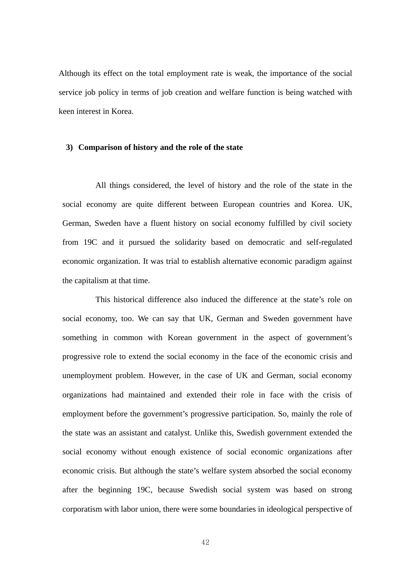Although its effect on the total employment rate is weak, the importance of the social service job policy in terms of job creation and welfare function is being watched with keen interest in Korea.

#### **3) Comparison of history and the role of the state**

All things considered, the level of history and the role of the state in the social economy are quite different between European countries and Korea. UK, German, Sweden have a fluent history on social economy fulfilled by civil society from 19C and it pursued the solidarity based on democratic and self-regulated economic organization. It was trial to establish alternative economic paradigm against the capitalism at that time.

This historical difference also induced the difference at the state's role on social economy, too. We can say that UK, German and Sweden government have something in common with Korean government in the aspect of government's progressive role to extend the social economy in the face of the economic crisis and unemployment problem. However, in the case of UK and German, social economy organizations had maintained and extended their role in face with the crisis of employment before the government's progressive participation. So, mainly the role of the state was an assistant and catalyst. Unlike this, Swedish government extended the social economy without enough existence of social economic organizations after economic crisis. But although the state's welfare system absorbed the social economy after the beginning 19C, because Swedish social system was based on strong corporatism with labor union, there were some boundaries in ideological perspective of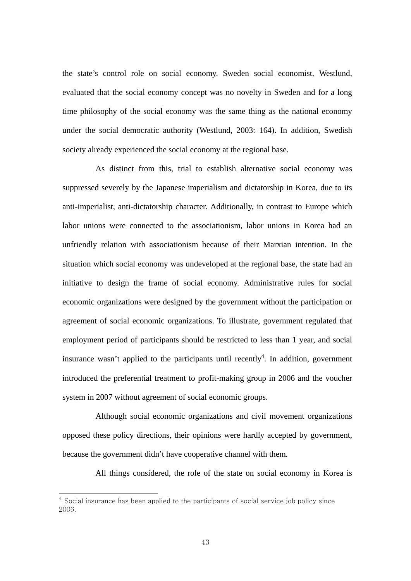the state's control role on social economy. Sweden social economist, Westlund, evaluated that the social economy concept was no novelty in Sweden and for a long time philosophy of the social economy was the same thing as the national economy under the social democratic authority (Westlund, 2003: 164). In addition, Swedish society already experienced the social economy at the regional base.

As distinct from this, trial to establish alternative social economy was suppressed severely by the Japanese imperialism and dictatorship in Korea, due to its anti-imperialist, anti-dictatorship character. Additionally, in contrast to Europe which labor unions were connected to the associationism, labor unions in Korea had an unfriendly relation with associationism because of their Marxian intention. In the situation which social economy was undeveloped at the regional base, the state had an initiative to design the frame of social economy. Administrative rules for social economic organizations were designed by the government without the participation or agreement of social economic organizations. To illustrate, government regulated that employment period of participants should be restricted to less than 1 year, and social insurance wasn't applied to the participants until recently<sup>4</sup>. In addition, government introduced the preferential treatment to profit-making group in 2006 and the voucher system in 2007 without agreement of social economic groups.

Although social economic organizations and civil movement organizations opposed these policy directions, their opinions were hardly accepted by government, because the government didn't have cooperative channel with them.

All things considered, the role of the state on social economy in Korea is

-

 $^4$  Social insurance has been applied to the participants of social service job policy since 2006.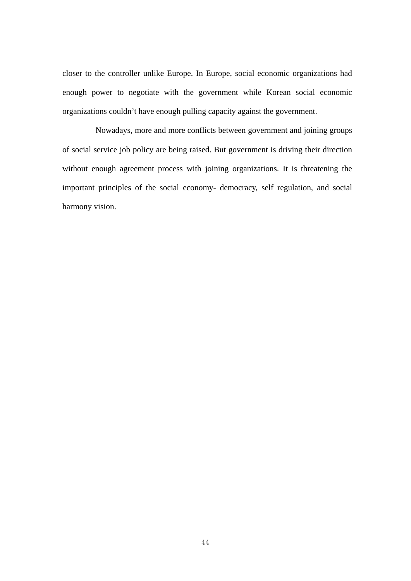closer to the controller unlike Europe. In Europe, social economic organizations had enough power to negotiate with the government while Korean social economic organizations couldn't have enough pulling capacity against the government.

Nowadays, more and more conflicts between government and joining groups of social service job policy are being raised. But government is driving their direction without enough agreement process with joining organizations. It is threatening the important principles of the social economy- democracy, self regulation, and social harmony vision.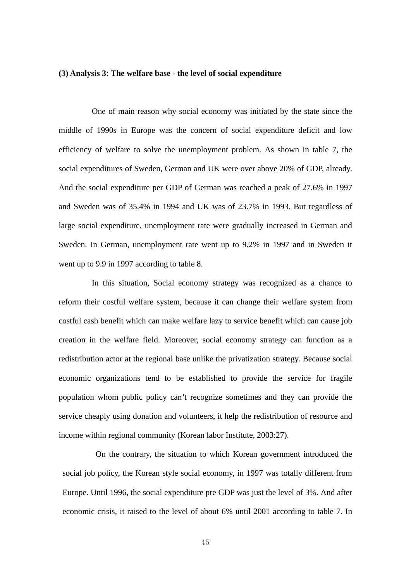#### **(3) Analysis 3: The welfare base - the level of social expenditure**

One of main reason why social economy was initiated by the state since the middle of 1990s in Europe was the concern of social expenditure deficit and low efficiency of welfare to solve the unemployment problem. As shown in table 7, the social expenditures of Sweden, German and UK were over above 20% of GDP, already. And the social expenditure per GDP of German was reached a peak of 27.6% in 1997 and Sweden was of 35.4% in 1994 and UK was of 23.7% in 1993. But regardless of large social expenditure, unemployment rate were gradually increased in German and Sweden. In German, unemployment rate went up to 9.2% in 1997 and in Sweden it went up to 9.9 in 1997 according to table 8.

In this situation, Social economy strategy was recognized as a chance to reform their costful welfare system, because it can change their welfare system from costful cash benefit which can make welfare lazy to service benefit which can cause job creation in the welfare field. Moreover, social economy strategy can function as a redistribution actor at the regional base unlike the privatization strategy. Because social economic organizations tend to be established to provide the service for fragile population whom public policy can't recognize sometimes and they can provide the service cheaply using donation and volunteers, it help the redistribution of resource and income within regional community (Korean labor Institute, 2003:27).

On the contrary, the situation to which Korean government introduced the social job policy, the Korean style social economy, in 1997 was totally different from Europe. Until 1996, the social expenditure pre GDP was just the level of 3%. And after economic crisis, it raised to the level of about 6% until 2001 according to table 7. In

45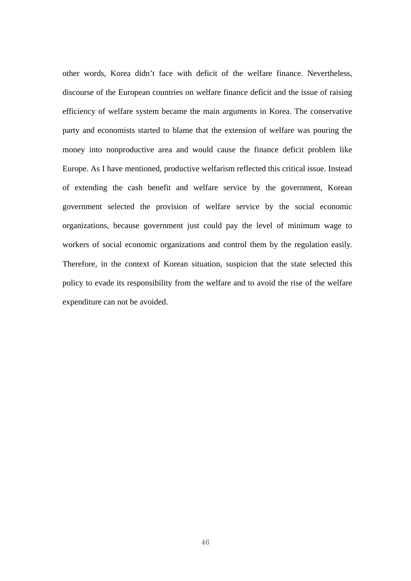other words, Korea didn't face with deficit of the welfare finance. Nevertheless, discourse of the European countries on welfare finance deficit and the issue of raising efficiency of welfare system became the main arguments in Korea. The conservative party and economists started to blame that the extension of welfare was pouring the money into nonproductive area and would cause the finance deficit problem like Europe. As I have mentioned, productive welfarism reflected this critical issue. Instead of extending the cash benefit and welfare service by the government, Korean government selected the provision of welfare service by the social economic organizations, because government just could pay the level of minimum wage to workers of social economic organizations and control them by the regulation easily. Therefore, in the context of Korean situation, suspicion that the state selected this policy to evade its responsibility from the welfare and to avoid the rise of the welfare expenditure can not be avoided.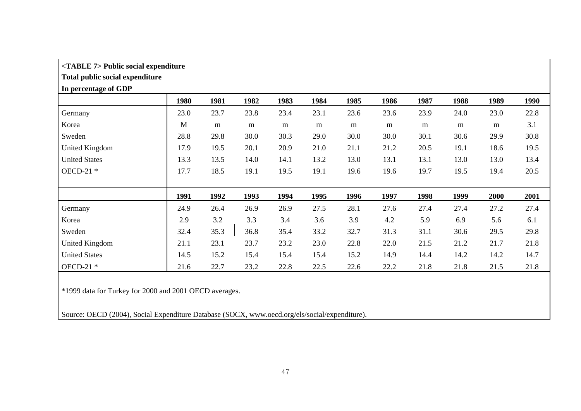## **<TABLE 7> Public social expenditure**

# **Total public social expenditure**

### **In percentage of GDP**

|                       | 1980 | 1981 | 1982 | 1983 | 1984 | 1985 | 1986 | 1987 | 1988 | 1989 | 1990 |
|-----------------------|------|------|------|------|------|------|------|------|------|------|------|
| Germany               | 23.0 | 23.7 | 23.8 | 23.4 | 23.1 | 23.6 | 23.6 | 23.9 | 24.0 | 23.0 | 22.8 |
| Korea                 | M    | m    | m    | m    | m    | m    | m    | m    | m    | m    | 3.1  |
| Sweden                | 28.8 | 29.8 | 30.0 | 30.3 | 29.0 | 30.0 | 30.0 | 30.1 | 30.6 | 29.9 | 30.8 |
| <b>United Kingdom</b> | 17.9 | 19.5 | 20.1 | 20.9 | 21.0 | 21.1 | 21.2 | 20.5 | 19.1 | 18.6 | 19.5 |
| <b>United States</b>  | 13.3 | 13.5 | 14.0 | 14.1 | 13.2 | 13.0 | 13.1 | 13.1 | 13.0 | 13.0 | 13.4 |
| OECD-21 $*$           | 17.7 | 18.5 | 19.1 | 19.5 | 19.1 | 19.6 | 19.6 | 19.7 | 19.5 | 19.4 | 20.5 |
|                       |      |      |      |      |      |      |      |      |      |      |      |
|                       | 1991 | 1992 | 1993 | 1994 | 1995 | 1996 | 1997 | 1998 | 1999 | 2000 | 2001 |
| Germany               | 24.9 | 26.4 | 26.9 | 26.9 | 27.5 | 28.1 | 27.6 | 27.4 | 27.4 | 27.2 | 27.4 |
| Korea                 | 2.9  | 3.2  | 3.3  | 3.4  | 3.6  | 3.9  | 4.2  | 5.9  | 6.9  | 5.6  | 6.1  |
| Sweden                | 32.4 | 35.3 | 36.8 | 35.4 | 33.2 | 32.7 | 31.3 | 31.1 | 30.6 | 29.5 | 29.8 |
| <b>United Kingdom</b> | 21.1 | 23.1 | 23.7 | 23.2 | 23.0 | 22.8 | 22.0 | 21.5 | 21.2 | 21.7 | 21.8 |
| <b>United States</b>  | 14.5 | 15.2 | 15.4 | 15.4 | 15.4 | 15.2 | 14.9 | 14.4 | 14.2 | 14.2 | 14.7 |
| OECD-21 $*$           | 21.6 | 22.7 | 23.2 | 22.8 | 22.5 | 22.6 | 22.2 | 21.8 | 21.8 | 21.5 | 21.8 |

\*1999 data for Turkey for 2000 and 2001 OECD averages.

Source: OECD (2004), Social Expenditure Database (SOCX, www.oecd.org/els/social/expenditure).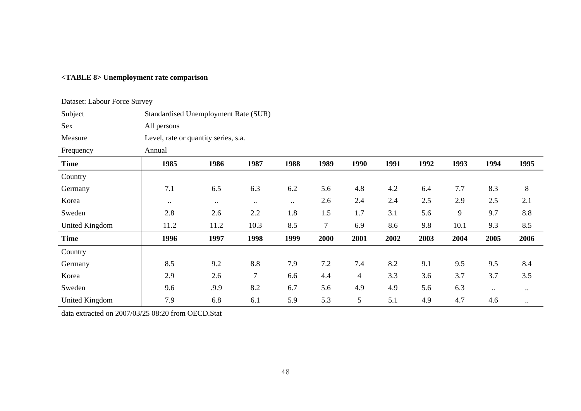# **<TABLE 8> Unemployment rate comparison**

| Dataset: Labour Force Survey |                                      |                  |                  |           |        |                |      |      |                |           |             |  |  |
|------------------------------|--------------------------------------|------------------|------------------|-----------|--------|----------------|------|------|----------------|-----------|-------------|--|--|
| Subject                      | Standardised Unemployment Rate (SUR) |                  |                  |           |        |                |      |      |                |           |             |  |  |
| Sex                          | All persons                          |                  |                  |           |        |                |      |      |                |           |             |  |  |
| Measure                      | Level, rate or quantity series, s.a. |                  |                  |           |        |                |      |      |                |           |             |  |  |
| Frequency                    | Annual                               |                  |                  |           |        |                |      |      |                |           |             |  |  |
| <b>Time</b>                  | 1985                                 | 1986             | 1987             | 1988      | 1989   | 1990           | 1991 | 1992 | 1993           | 1994      | 1995        |  |  |
| Country                      |                                      |                  |                  |           |        |                |      |      |                |           |             |  |  |
| Germany                      | 7.1                                  | 6.5              | 6.3              | 6.2       | 5.6    | 4.8            | 4.2  | 6.4  | 7.7            | 8.3       | $8\,$       |  |  |
| Korea                        | $\bullet$ .                          | $\bullet\bullet$ | $\bullet\bullet$ | $\ddotsc$ | 2.6    | 2.4            | 2.4  | 2.5  | 2.9            | 2.5       | 2.1         |  |  |
| Sweden                       | 2.8                                  | 2.6              | 2.2              | 1.8       | 1.5    | 1.7            | 3.1  | 5.6  | $\overline{9}$ | 9.7       | 8.8         |  |  |
| United Kingdom               | 11.2                                 | 11.2             | 10.3             | 8.5       | $\tau$ | 6.9            | 8.6  | 9.8  | 10.1           | 9.3       | 8.5         |  |  |
| <b>Time</b>                  | 1996                                 | 1997             | 1998             | 1999      | 2000   | 2001           | 2002 | 2003 | 2004           | 2005      | 2006        |  |  |
| Country                      |                                      |                  |                  |           |        |                |      |      |                |           |             |  |  |
| Germany                      | 8.5                                  | 9.2              | $8.8\,$          | 7.9       | 7.2    | 7.4            | 8.2  | 9.1  | 9.5            | 9.5       | 8.4         |  |  |
| Korea                        | 2.9                                  | 2.6              | $\overline{7}$   | 6.6       | 4.4    | $\overline{4}$ | 3.3  | 3.6  | 3.7            | 3.7       | 3.5         |  |  |
| Sweden                       | 9.6                                  | .9.9             | 8.2              | 6.7       | 5.6    | 4.9            | 4.9  | 5.6  | 6.3            | $\ddotsc$ | $\bullet$ . |  |  |
| United Kingdom               | 7.9                                  | 6.8              | 6.1              | 5.9       | 5.3    | 5              | 5.1  | 4.9  | 4.7            | 4.6       | $\cdots$    |  |  |

data extracted on 2007/03/25 08:20 from OECD.Stat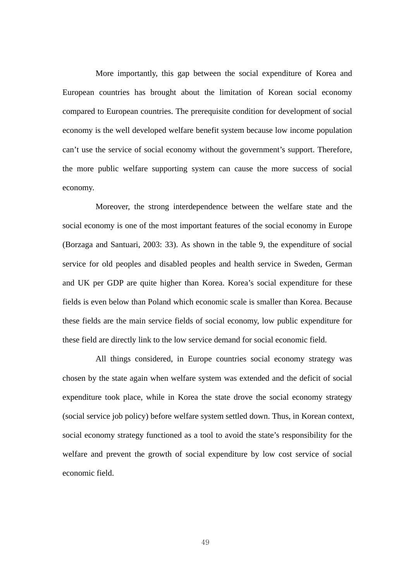More importantly, this gap between the social expenditure of Korea and European countries has brought about the limitation of Korean social economy compared to European countries. The prerequisite condition for development of social economy is the well developed welfare benefit system because low income population can't use the service of social economy without the government's support. Therefore, the more public welfare supporting system can cause the more success of social economy.

Moreover, the strong interdependence between the welfare state and the social economy is one of the most important features of the social economy in Europe (Borzaga and Santuari, 2003: 33). As shown in the table 9, the expenditure of social service for old peoples and disabled peoples and health service in Sweden, German and UK per GDP are quite higher than Korea. Korea's social expenditure for these fields is even below than Poland which economic scale is smaller than Korea. Because these fields are the main service fields of social economy, low public expenditure for these field are directly link to the low service demand for social economic field.

All things considered, in Europe countries social economy strategy was chosen by the state again when welfare system was extended and the deficit of social expenditure took place, while in Korea the state drove the social economy strategy (social service job policy) before welfare system settled down. Thus, in Korean context, social economy strategy functioned as a tool to avoid the state's responsibility for the welfare and prevent the growth of social expenditure by low cost service of social economic field.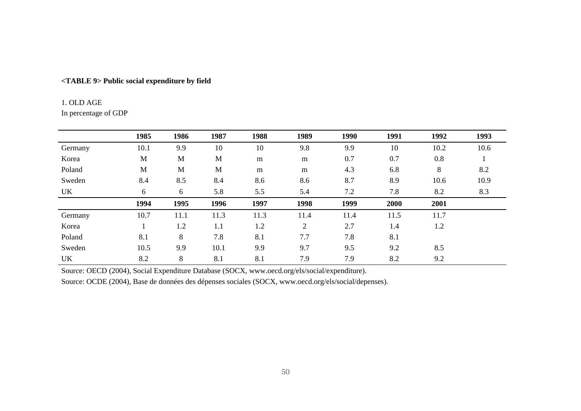## **<TABLE 9> Public social expenditure by field**

#### 1. OLD AGE

In percentage of GDP

|         | 1985 | 1986 | 1987 | 1988 | 1989           | 1990 | 1991 | 1992 | 1993 |
|---------|------|------|------|------|----------------|------|------|------|------|
| Germany | 10.1 | 9.9  | 10   | 10   | 9.8            | 9.9  | 10   | 10.2 | 10.6 |
| Korea   | M    | M    | M    | m    | m              | 0.7  | 0.7  | 0.8  |      |
| Poland  | M    | M    | M    | m    | m              | 4.3  | 6.8  | 8    | 8.2  |
| Sweden  | 8.4  | 8.5  | 8.4  | 8.6  | 8.6            | 8.7  | 8.9  | 10.6 | 10.9 |
| UK      | 6    | 6    | 5.8  | 5.5  | 5.4            | 7.2  | 7.8  | 8.2  | 8.3  |
|         | 1994 | 1995 | 1996 | 1997 | 1998           | 1999 | 2000 | 2001 |      |
| Germany | 10.7 | 11.1 | 11.3 | 11.3 | 11.4           | 11.4 | 11.5 | 11.7 |      |
| Korea   |      | 1.2  | 1.1  | 1.2  | $\overline{2}$ | 2.7  | 1.4  | 1.2  |      |
| Poland  | 8.1  | 8    | 7.8  | 8.1  | 7.7            | 7.8  | 8.1  |      |      |
| Sweden  | 10.5 | 9.9  | 10.1 | 9.9  | 9.7            | 9.5  | 9.2  | 8.5  |      |
| UK      | 8.2  | 8    | 8.1  | 8.1  | 7.9            | 7.9  | 8.2  | 9.2  |      |

Source: OECD (2004), Social Expenditure Database (SOCX, www.oecd.org/els/social/expenditure).

Source: OCDE (2004), Base de données des dépenses sociales (SOCX, www.oecd.org/els/social/depenses).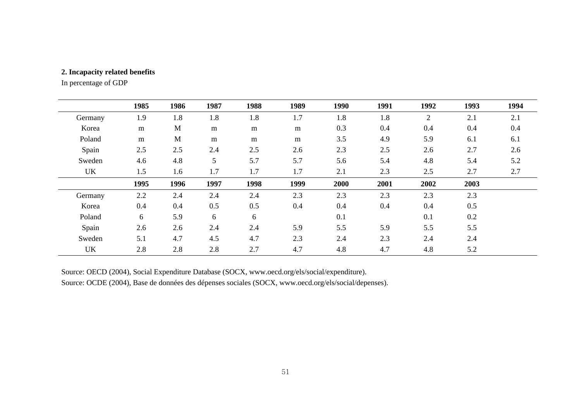## **2. Incapacity related benefits**

In percentage of GDP

|         | 1985 | 1986 | 1987             | 1988 | 1989 | 1990 | 1991 | 1992 | 1993 | 1994 |
|---------|------|------|------------------|------|------|------|------|------|------|------|
| Germany | 1.9  | 1.8  | 1.8              | 1.8  | 1.7  | 1.8  | 1.8  | 2    | 2.1  | 2.1  |
| Korea   | m    | M    | m                | m    | m    | 0.3  | 0.4  | 0.4  | 0.4  | 0.4  |
| Poland  | m    | M    | m                | m    | m    | 3.5  | 4.9  | 5.9  | 6.1  | 6.1  |
| Spain   | 2.5  | 2.5  | 2.4              | 2.5  | 2.6  | 2.3  | 2.5  | 2.6  | 2.7  | 2.6  |
| Sweden  | 4.6  | 4.8  | 5                | 5.7  | 5.7  | 5.6  | 5.4  | 4.8  | 5.4  | 5.2  |
| UK      | 1.5  | 1.6  | 1.7              | 1.7  | 1.7  | 2.1  | 2.3  | 2.5  | 2.7  | 2.7  |
|         | 1995 | 1996 | 1997             | 1998 | 1999 | 2000 | 2001 | 2002 | 2003 |      |
| Germany | 2.2  | 2.4  | 2.4              | 2.4  | 2.3  | 2.3  | 2.3  | 2.3  | 2.3  |      |
| Korea   | 0.4  | 0.4  | 0.5              | 0.5  | 0.4  | 0.4  | 0.4  | 0.4  | 0.5  |      |
| Poland  | 6    | 5.9  | $\boldsymbol{6}$ | 6    |      | 0.1  |      | 0.1  | 0.2  |      |
| Spain   | 2.6  | 2.6  | 2.4              | 2.4  | 5.9  | 5.5  | 5.9  | 5.5  | 5.5  |      |
| Sweden  | 5.1  | 4.7  | 4.5              | 4.7  | 2.3  | 2.4  | 2.3  | 2.4  | 2.4  |      |
| UK      | 2.8  | 2.8  | 2.8              | 2.7  | 4.7  | 4.8  | 4.7  | 4.8  | 5.2  |      |

Source: OECD (2004), Social Expenditure Database (SOCX, www.oecd.org/els/social/expenditure).

Source: OCDE (2004), Base de données des dépenses sociales (SOCX, www.oecd.org/els/social/depenses).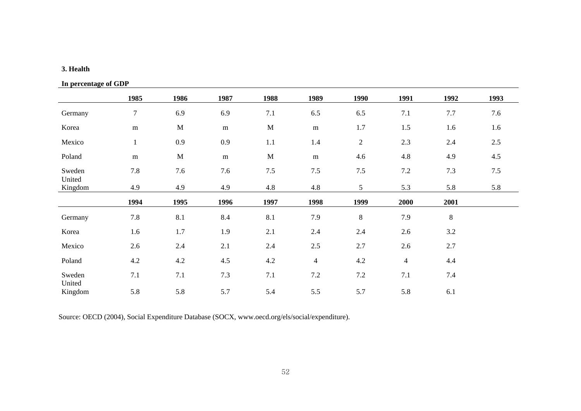#### **3. Health**

# **In percentage of GDP**

|                   | 1985             | 1986        | 1987      | 1988        | 1989           | 1990           | 1991           | 1992    | 1993 |
|-------------------|------------------|-------------|-----------|-------------|----------------|----------------|----------------|---------|------|
| Germany           | $\boldsymbol{7}$ | 6.9         | 6.9       | 7.1         | 6.5            | 6.5            | 7.1            | 7.7     | 7.6  |
| Korea             | ${\bf m}$        | $\mathbf M$ | ${\bf m}$ | $\mathbf M$ | ${\bf m}$      | 1.7            | 1.5            | 1.6     | 1.6  |
| Mexico            | $\mathbf{1}$     | 0.9         | 0.9       | 1.1         | 1.4            | $\overline{2}$ | 2.3            | 2.4     | 2.5  |
| Poland            | ${\bf m}$        | $\mathbf M$ | ${\bf m}$ | $\mathbf M$ | ${\bf m}$      | 4.6            | 4.8            | 4.9     | 4.5  |
| Sweden            | 7.8              | 7.6         | 7.6       | 7.5         | $7.5\,$        | 7.5            | 7.2            | 7.3     | 7.5  |
| United<br>Kingdom | 4.9              | 4.9         | 4.9       | 4.8         | 4.8            | 5              | 5.3            | 5.8     | 5.8  |
|                   | 1994             | 1995        | 1996      | 1997        | 1998           | 1999           | 2000           | 2001    |      |
| Germany           | 7.8              | 8.1         | 8.4       | 8.1         | 7.9            | 8              | 7.9            | $8\,$   |      |
| Korea             | 1.6              | 1.7         | 1.9       | 2.1         | 2.4            | 2.4            | 2.6            | $3.2\,$ |      |
| Mexico            | 2.6              | 2.4         | 2.1       | 2.4         | 2.5            | 2.7            | 2.6            | 2.7     |      |
| Poland            | 4.2              | 4.2         | 4.5       | 4.2         | $\overline{4}$ | 4.2            | $\overline{4}$ | 4.4     |      |
| Sweden            | 7.1              | $7.1\,$     | 7.3       | 7.1         | 7.2            | 7.2            | 7.1            | 7.4     |      |
| United<br>Kingdom | 5.8              | 5.8         | 5.7       | 5.4         | 5.5            | 5.7            | 5.8            | 6.1     |      |

Source: OECD (2004), Social Expenditure Database (SOCX, www.oecd.org/els/social/expenditure).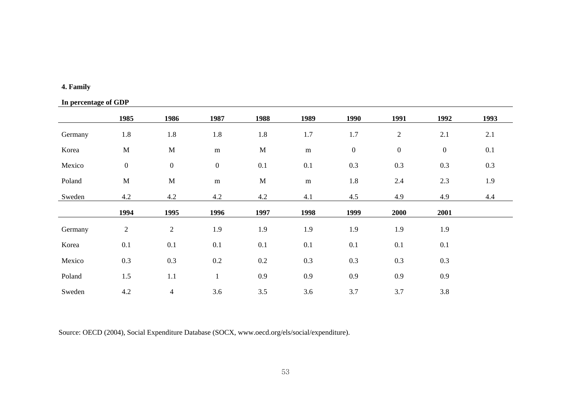# **4. Family**

# **In percentage of GDP**

|         | 1985             | 1986                     | 1987             | 1988        | 1989      | 1990             | 1991             | 1992             | 1993 |
|---------|------------------|--------------------------|------------------|-------------|-----------|------------------|------------------|------------------|------|
| Germany | 1.8              | 1.8                      | 1.8              | 1.8         | 1.7       | 1.7              | $\overline{2}$   | 2.1              | 2.1  |
| Korea   | $\mathbf M$      | $\mathbf M$              | ${\bf m}$        | $\mathbf M$ | ${\bf m}$ | $\boldsymbol{0}$ | $\boldsymbol{0}$ | $\boldsymbol{0}$ | 0.1  |
| Mexico  | $\boldsymbol{0}$ | $\boldsymbol{0}$         | $\boldsymbol{0}$ | 0.1         | $0.1\,$   | 0.3              | 0.3              | 0.3              | 0.3  |
| Poland  | $\mathbf M$      | $\mathbf M$              | ${\bf m}$        | $\mathbf M$ | ${\bf m}$ | 1.8              | 2.4              | 2.3              | 1.9  |
| Sweden  | 4.2              | 4.2                      | 4.2              | 4.2         | 4.1       | 4.5              | 4.9              | 4.9              | 4.4  |
|         | 1994             | 1995                     | 1996             | 1997        | 1998      | 1999             | 2000             | 2001             |      |
| Germany | $\overline{c}$   | $\sqrt{2}$               | 1.9              | 1.9         | 1.9       | 1.9              | 1.9              | 1.9              |      |
| Korea   | 0.1              | 0.1                      | 0.1              | 0.1         | 0.1       | 0.1              | 0.1              | 0.1              |      |
| Mexico  | 0.3              | $0.3\,$                  | $0.2\,$          | $0.2\,$     | 0.3       | 0.3              | 0.3              | 0.3              |      |
| Poland  | 1.5              | 1.1                      | $\mathbf{1}$     | 0.9         | 0.9       | 0.9              | 0.9              | 0.9              |      |
| Sweden  | 4.2              | $\overline{\mathcal{A}}$ | 3.6              | 3.5         | 3.6       | 3.7              | 3.7              | 3.8              |      |

Source: OECD (2004), Social Expenditure Database (SOCX, www.oecd.org/els/social/expenditure).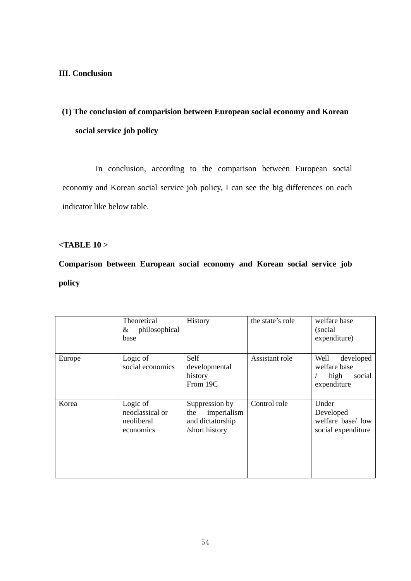# **III. Conclusion**

# **(1) The conclusion of comparision between European social economy and Korean social service job policy**

In conclusion, according to the comparison between European social economy and Korean social service job policy, I can see the big differences on each indicator like below table.

### **<TABLE 10 >**

**Comparison between European social economy and Korean social service job policy**

|        | Theoretical<br>philosophical<br>&<br>base              | History                                                                    | the state's role | welfare base<br>(social<br>expenditure)                            |
|--------|--------------------------------------------------------|----------------------------------------------------------------------------|------------------|--------------------------------------------------------------------|
| Europe | Logic of<br>social economics                           | Self<br>developmental<br>history<br>From 19C                               | Assistant role   | Well<br>developed<br>welfare base<br>high<br>social<br>expenditure |
| Korea  | Logic of<br>neoclassical or<br>neoliberal<br>economics | Suppression by<br>imperialism<br>the<br>and dictatorship<br>/short history | Control role     | Under<br>Developed<br>welfare base/ low<br>social expenditure      |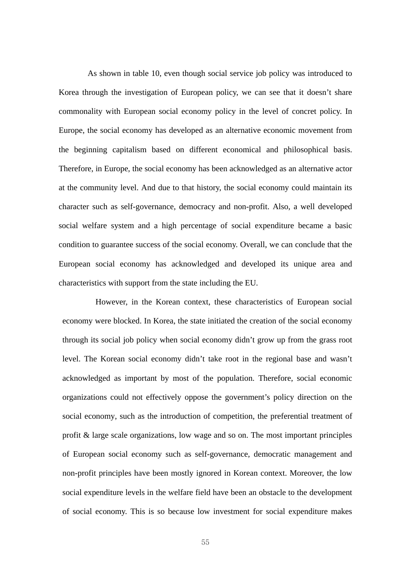As shown in table 10, even though social service job policy was introduced to Korea through the investigation of European policy, we can see that it doesn't share commonality with European social economy policy in the level of concret policy. In Europe, the social economy has developed as an alternative economic movement from the beginning capitalism based on different economical and philosophical basis. Therefore, in Europe, the social economy has been acknowledged as an alternative actor at the community level. And due to that history, the social economy could maintain its character such as self-governance, democracy and non-profit. Also, a well developed social welfare system and a high percentage of social expenditure became a basic condition to guarantee success of the social economy. Overall, we can conclude that the European social economy has acknowledged and developed its unique area and characteristics with support from the state including the EU.

However, in the Korean context, these characteristics of European social economy were blocked. In Korea, the state initiated the creation of the social economy through its social job policy when social economy didn't grow up from the grass root level. The Korean social economy didn't take root in the regional base and wasn't acknowledged as important by most of the population. Therefore, social economic organizations could not effectively oppose the government's policy direction on the social economy, such as the introduction of competition, the preferential treatment of profit & large scale organizations, low wage and so on. The most important principles of European social economy such as self-governance, democratic management and non-profit principles have been mostly ignored in Korean context. Moreover, the low social expenditure levels in the welfare field have been an obstacle to the development of social economy. This is so because low investment for social expenditure makes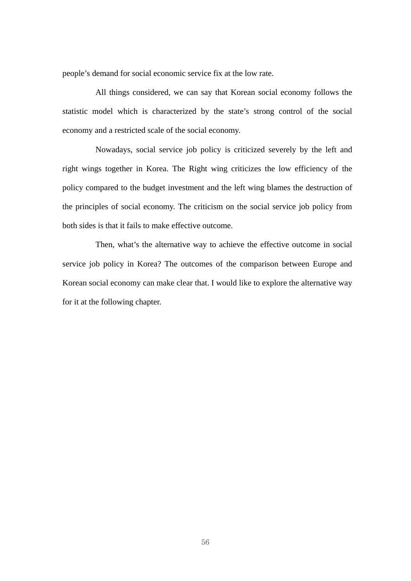people's demand for social economic service fix at the low rate.

All things considered, we can say that Korean social economy follows the statistic model which is characterized by the state's strong control of the social economy and a restricted scale of the social economy.

Nowadays, social service job policy is criticized severely by the left and right wings together in Korea. The Right wing criticizes the low efficiency of the policy compared to the budget investment and the left wing blames the destruction of the principles of social economy. The criticism on the social service job policy from both sides is that it fails to make effective outcome.

Then, what's the alternative way to achieve the effective outcome in social service job policy in Korea? The outcomes of the comparison between Europe and Korean social economy can make clear that. I would like to explore the alternative way for it at the following chapter.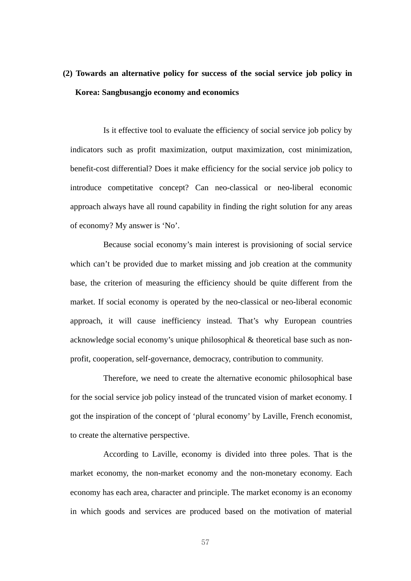# **(2) Towards an alternative policy for success of the social service job policy in Korea: Sangbusangjo economy and economics**

Is it effective tool to evaluate the efficiency of social service job policy by indicators such as profit maximization, output maximization, cost minimization, benefit-cost differential? Does it make efficiency for the social service job policy to introduce competitative concept? Can neo-classical or neo-liberal economic approach always have all round capability in finding the right solution for any areas of economy? My answer is 'No'.

Because social economy's main interest is provisioning of social service which can't be provided due to market missing and job creation at the community base, the criterion of measuring the efficiency should be quite different from the market. If social economy is operated by the neo-classical or neo-liberal economic approach, it will cause inefficiency instead. That's why European countries acknowledge social economy's unique philosophical & theoretical base such as nonprofit, cooperation, self-governance, democracy, contribution to community.

Therefore, we need to create the alternative economic philosophical base for the social service job policy instead of the truncated vision of market economy. I got the inspiration of the concept of 'plural economy' by Laville, French economist, to create the alternative perspective.

According to Laville, economy is divided into three poles. That is the market economy, the non-market economy and the non-monetary economy. Each economy has each area, character and principle. The market economy is an economy in which goods and services are produced based on the motivation of material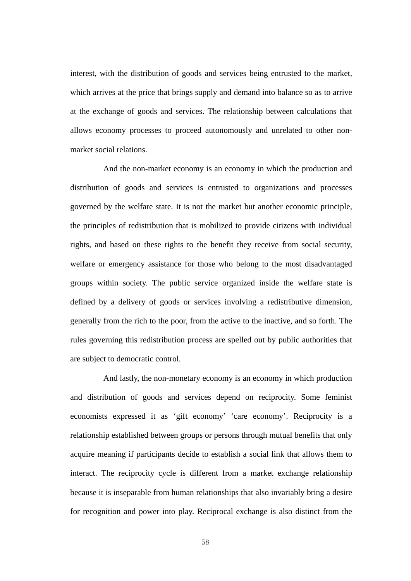interest, with the distribution of goods and services being entrusted to the market, which arrives at the price that brings supply and demand into balance so as to arrive at the exchange of goods and services. The relationship between calculations that allows economy processes to proceed autonomously and unrelated to other nonmarket social relations.

And the non-market economy is an economy in which the production and distribution of goods and services is entrusted to organizations and processes governed by the welfare state. It is not the market but another economic principle, the principles of redistribution that is mobilized to provide citizens with individual rights, and based on these rights to the benefit they receive from social security, welfare or emergency assistance for those who belong to the most disadvantaged groups within society. The public service organized inside the welfare state is defined by a delivery of goods or services involving a redistributive dimension, generally from the rich to the poor, from the active to the inactive, and so forth. The rules governing this redistribution process are spelled out by public authorities that are subject to democratic control.

And lastly, the non-monetary economy is an economy in which production and distribution of goods and services depend on reciprocity. Some feminist economists expressed it as 'gift economy' 'care economy'. Reciprocity is a relationship established between groups or persons through mutual benefits that only acquire meaning if participants decide to establish a social link that allows them to interact. The reciprocity cycle is different from a market exchange relationship because it is inseparable from human relationships that also invariably bring a desire for recognition and power into play. Reciprocal exchange is also distinct from the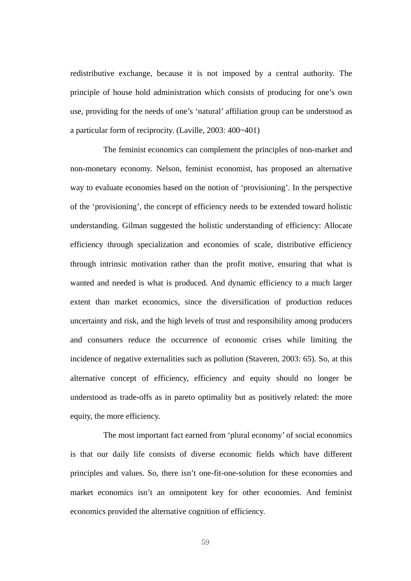redistributive exchange, because it is not imposed by a central authority. The principle of house hold administration which consists of producing for one's own use, providing for the needs of one's 'natural' affiliation group can be understood as a particular form of reciprocity. (Laville, 2003: 400~401)

The feminist economics can complement the principles of non-market and non-monetary economy. Nelson, feminist economist, has proposed an alternative way to evaluate economies based on the notion of 'provisioning'. In the perspective of the 'provisioning', the concept of efficiency needs to be extended toward holistic understanding. Gilman suggested the holistic understanding of efficiency: Allocate efficiency through specialization and economies of scale, distributive efficiency through intrinsic motivation rather than the profit motive, ensuring that what is wanted and needed is what is produced. And dynamic efficiency to a much larger extent than market economics, since the diversification of production reduces uncertainty and risk, and the high levels of trust and responsibility among producers and consumers reduce the occurrence of economic crises while limiting the incidence of negative externalities such as pollution (Staveren, 2003: 65). So, at this alternative concept of efficiency, efficiency and equity should no longer be understood as trade-offs as in pareto optimality but as positively related: the more equity, the more efficiency.

The most important fact earned from 'plural economy' of social economics is that our daily life consists of diverse economic fields which have different principles and values. So, there isn't one-fit-one-solution for these economies and market economics isn't an omnipotent key for other economies. And feminist economics provided the alternative cognition of efficiency.

59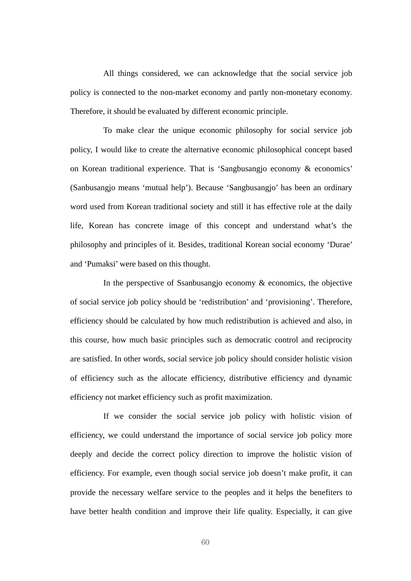All things considered, we can acknowledge that the social service job policy is connected to the non-market economy and partly non-monetary economy. Therefore, it should be evaluated by different economic principle.

To make clear the unique economic philosophy for social service job policy, I would like to create the alternative economic philosophical concept based on Korean traditional experience. That is 'Sangbusangjo economy & economics' (Sanbusangjo means 'mutual help'). Because 'Sangbusangjo' has been an ordinary word used from Korean traditional society and still it has effective role at the daily life, Korean has concrete image of this concept and understand what's the philosophy and principles of it. Besides, traditional Korean social economy 'Durae' and 'Pumaksi' were based on this thought.

In the perspective of Ssanbusangjo economy & economics, the objective of social service job policy should be 'redistribution' and 'provisioning'. Therefore, efficiency should be calculated by how much redistribution is achieved and also, in this course, how much basic principles such as democratic control and reciprocity are satisfied. In other words, social service job policy should consider holistic vision of efficiency such as the allocate efficiency, distributive efficiency and dynamic efficiency not market efficiency such as profit maximization.

If we consider the social service job policy with holistic vision of efficiency, we could understand the importance of social service job policy more deeply and decide the correct policy direction to improve the holistic vision of efficiency. For example, even though social service job doesn't make profit, it can provide the necessary welfare service to the peoples and it helps the benefiters to have better health condition and improve their life quality. Especially, it can give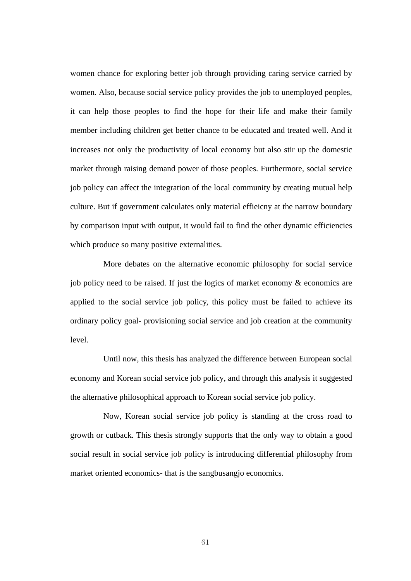women chance for exploring better job through providing caring service carried by women. Also, because social service policy provides the job to unemployed peoples, it can help those peoples to find the hope for their life and make their family member including children get better chance to be educated and treated well. And it increases not only the productivity of local economy but also stir up the domestic market through raising demand power of those peoples. Furthermore, social service job policy can affect the integration of the local community by creating mutual help culture. But if government calculates only material effieicny at the narrow boundary by comparison input with output, it would fail to find the other dynamic efficiencies which produce so many positive externalities.

More debates on the alternative economic philosophy for social service job policy need to be raised. If just the logics of market economy & economics are applied to the social service job policy, this policy must be failed to achieve its ordinary policy goal- provisioning social service and job creation at the community level.

Until now, this thesis has analyzed the difference between European social economy and Korean social service job policy, and through this analysis it suggested the alternative philosophical approach to Korean social service job policy.

Now, Korean social service job policy is standing at the cross road to growth or cutback. This thesis strongly supports that the only way to obtain a good social result in social service job policy is introducing differential philosophy from market oriented economics- that is the sangbusangjo economics.

61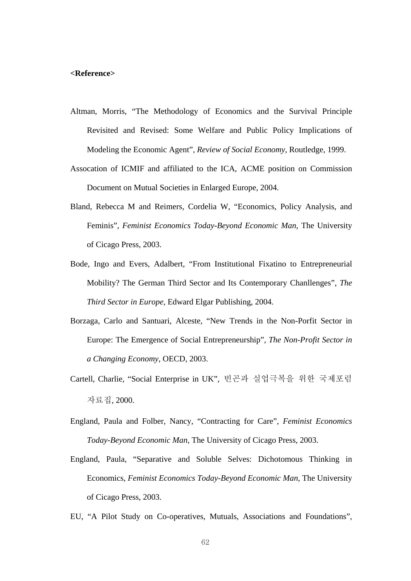#### **<Reference>**

- Altman, Morris, "The Methodology of Economics and the Survival Principle Revisited and Revised: Some Welfare and Public Policy Implications of Modeling the Economic Agent", *Review of Social Economy*, Routledge, 1999.
- Assocation of ICMIF and affiliated to the ICA, ACME position on Commission Document on Mutual Societies in Enlarged Europe, 2004.
- Bland, Rebecca M and Reimers, Cordelia W, "Economics, Policy Analysis, and Feminis", *Feminist Economics Today-Beyond Economic Man*, The University of Cicago Press, 2003.
- Bode, Ingo and Evers, Adalbert, "From Institutional Fixatino to Entrepreneurial Mobility? The German Third Sector and Its Contemporary Chanllenges", *The Third Sector in Europe*, Edward Elgar Publishing, 2004.
- Borzaga, Carlo and Santuari, Alceste, "New Trends in the Non-Porfit Sector in Europe: The Emergence of Social Entrepreneurship", *The Non-Profit Sector in a Changing Economy*, OECD, 2003.
- Cartell, Charlie, "Social Enterprise in UK", 빈곤과 실업극복을 위한 국제포럼 자료집, 2000.
- England, Paula and Folber, Nancy, "Contracting for Care", *Feminist Economics Today-Beyond Economic Man*, The University of Cicago Press, 2003.
- England, Paula, "Separative and Soluble Selves: Dichotomous Thinking in Economics, *Feminist Economics Today-Beyond Economic Man*, The University of Cicago Press, 2003.
- EU, "A Pilot Study on Co-operatives, Mutuals, Associations and Foundations",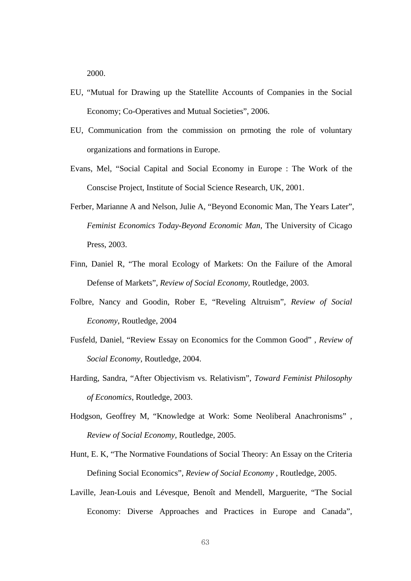2000.

- EU, "Mutual for Drawing up the Statellite Accounts of Companies in the Social Economy; Co-Operatives and Mutual Societies", 2006.
- EU, Communication from the commission on prmoting the role of voluntary organizations and formations in Europe.
- Evans, Mel, "Social Capital and Social Economy in Europe : The Work of the Conscise Project, Institute of Social Science Research, UK, 2001.
- Ferber, Marianne A and Nelson, Julie A, "Beyond Economic Man, The Years Later", *Feminist Economics Today-Beyond Economic Man*, The University of Cicago Press, 2003.
- Finn, Daniel R, "The moral Ecology of Markets: On the Failure of the Amoral Defense of Markets", *Review of Social Economy*, Routledge, 2003.
- Folbre, Nancy and Goodin, Rober E, "Reveling Altruism", *Review of Social Economy*, Routledge, 2004
- Fusfeld, Daniel, "Review Essay on Economics for the Common Good" , *Review of Social Economy*, Routledge, 2004.
- Harding, Sandra, "After Objectivism vs. Relativism", *Toward Feminist Philosophy of Economics*, Routledge, 2003.
- Hodgson, Geoffrey M, "Knowledge at Work: Some Neoliberal Anachronisms" , *Review of Social Economy*, Routledge, 2005.
- Hunt, E. K, "The Normative Foundations of Social Theory: An Essay on the Criteria Defining Social Economics", *Review of Social Economy* , Routledge, 2005.
- Laville, Jean-Louis and Lévesque, Benoît and Mendell, Marguerite, "The Social Economy: Diverse Approaches and Practices in Europe and Canada",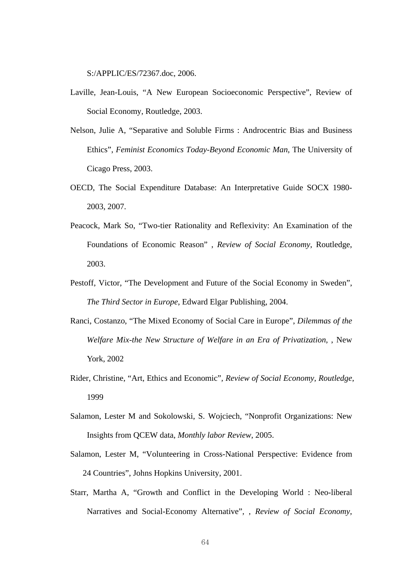S:/APPLIC/ES/72367.doc, 2006.

- Laville, Jean-Louis, "A New European Socioeconomic Perspective", Review of Social Economy, Routledge, 2003.
- Nelson, Julie A, "Separative and Soluble Firms : Androcentric Bias and Business Ethics", *Feminist Economics Today-Beyond Economic Man*, The University of Cicago Press, 2003.
- OECD, The Social Expenditure Database: An Interpretative Guide SOCX 1980- 2003, 2007.
- Peacock, Mark So, "Two-tier Rationality and Reflexivity: An Examination of the Foundations of Economic Reason" , *Review of Social Economy*, Routledge, 2003.
- Pestoff, Victor, "The Development and Future of the Social Economy in Sweden", *The Third Sector in Europe*, Edward Elgar Publishing, 2004.
- Ranci, Costanzo, "The Mixed Economy of Social Care in Europe", *Dilemmas of the Welfare Mix-the New Structure of Welfare in an Era of Privatization*, , New York, 2002
- Rider, Christine, "Art, Ethics and Economic"*, Review of Social Economy, Routledge*, 1999
- Salamon, Lester M and Sokolowski, S. Wojciech, "Nonprofit Organizations: New Insights from QCEW data, *Monthly labor Review*, 2005.
- Salamon, Lester M, "Volunteering in Cross-National Perspective: Evidence from 24 Countries", Johns Hopkins University, 2001.
- Starr, Martha A, "Growth and Conflict in the Developing World : Neo-liberal Narratives and Social-Economy Alternative", , *Review of Social Economy*,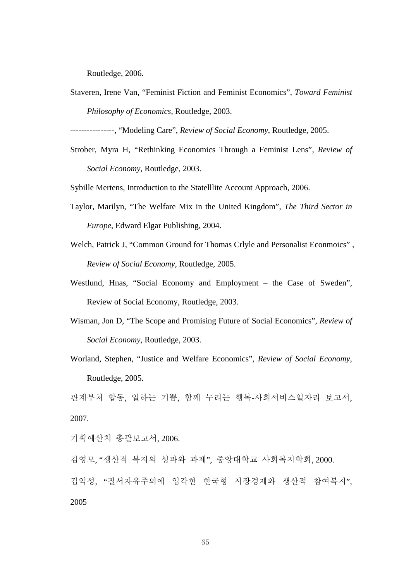Routledge, 2006.

Staveren, Irene Van, "Feminist Fiction and Feminist Economics", *Toward Feminist Philosophy of Economics*, Routledge, 2003.

----------------, "Modeling Care", *Review of Social Economy*, Routledge, 2005.

Strober, Myra H, "Rethinking Economics Through a Feminist Lens", *Review of Social Economy*, Routledge, 2003.

Sybille Mertens, Introduction to the Statelllite Account Approach, 2006.

- Taylor, Marilyn, "The Welfare Mix in the United Kingdom", *The Third Sector in Europe*, Edward Elgar Publishing, 2004.
- Welch, Patrick J, "Common Ground for Thomas Crlyle and Personalist Econmoics" , *Review of Social Economy*, Routledge, 2005.
- Westlund, Hnas, "Social Economy and Employment the Case of Sweden", Review of Social Economy, Routledge, 2003.
- Wisman, Jon D, "The Scope and Promising Future of Social Economics", *Review of Social Economy*, Routledge, 2003.
- Worland, Stephen, "Justice and Welfare Economics", *Review of Social Economy*, Routledge, 2005.

관계부처 합동, 일하는 기쁨, 함께 누리는 행복-사회서비스일자리 보고서, 2007.

기획예산처 총괄보고서, 2006.

김영모, "생산적 복지의 성과와 과제", 중앙대학교 사회복지학회, 2000. 김익성, "질서자유주의에 입각한 한국형 시장경제와 생산적 참여복지", 2005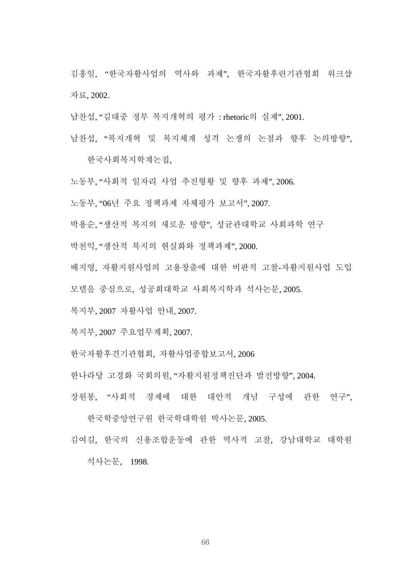김홍일, "한국자활사업의 역사와 과제", 한국자활후련기관협회 워크샵 자료, 2002.

남찬섭, "김대중 정부 복지개혁의 평가 : rhetoric의 실제", 2001.

남찬섭, "복지개혁 및 복지체계 성격 논쟁의 논점과 향후 논의방향",

한국사회복지학계논집,

노동부, "사회적 일자리 사업 추진형황 및 향후 과제", 2006.

노동부, "06년 주요 정책과제 자체평가 보고서", 2007.

박용순, "생산적 복지의 새로운 방향", 성균관대학교 사회과학 연구

박천익, "생산적 복지의 현실화와 정책과제", 2000.

배지영, 자활지원사업의 고용창출에 대한 비판적 고찰-자활지원사업 도입

모델을 중심으로, 성공회대학교 사회복지학과 석사논문, 2005.

복지부, 2007 자활사업 안내, 2007.

복지부, 2007 주요업무계획, 2007.

한국자활후견기관협회, 자활사업종합보고서, 2006

한나라당 고경화 국회의원, "자활지원정책진단과 발전방향", 2004.

장원봉, "사회적 경제에 대한 대안적 개념 구성에 관한 연구",

한국학중앙연구원 한국학대학원 박사논문, 2005.

김여길, 한국의 신용조합운동에 관한 역사적 고찰, 강남대학교 대학원

석사논문, 1998.